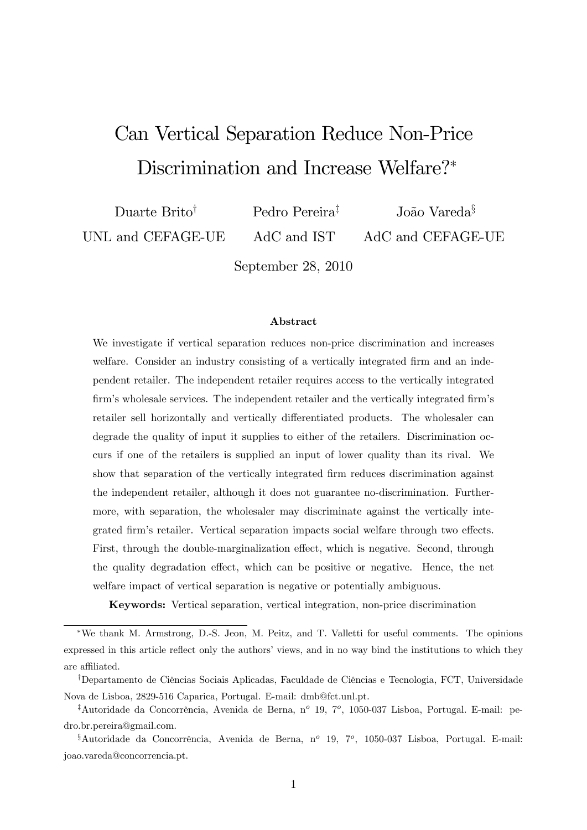# Can Vertical Separation Reduce Non-Price Discrimination and Increase Welfare?

Duarte Brito<sup>†</sup> UNL and CEFAGE-UE Pedro Pereira<sup>‡</sup> AdC and IST João Vareda ${}^{s}$ AdC and CEFAGE-UE

September 28, 2010

#### Abstract

We investigate if vertical separation reduces non-price discrimination and increases welfare. Consider an industry consisting of a vertically integrated firm and an independent retailer. The independent retailer requires access to the vertically integrated firm's wholesale services. The independent retailer and the vertically integrated firm's retailer sell horizontally and vertically differentiated products. The wholesaler can degrade the quality of input it supplies to either of the retailers. Discrimination occurs if one of the retailers is supplied an input of lower quality than its rival. We show that separation of the vertically integrated Örm reduces discrimination against the independent retailer, although it does not guarantee no-discrimination. Furthermore, with separation, the wholesaler may discriminate against the vertically integrated firm's retailer. Vertical separation impacts social welfare through two effects. First, through the double-marginalization effect, which is negative. Second, through the quality degradation effect, which can be positive or negative. Hence, the net welfare impact of vertical separation is negative or potentially ambiguous.

Keywords: Vertical separation, vertical integration, non-price discrimination

We thank M. Armstrong, D.-S. Jeon, M. Peitz, and T. Valletti for useful comments. The opinions expressed in this article reflect only the authors' views, and in no way bind the institutions to which they are affiliated.

<sup>&</sup>lt;sup>†</sup>Departamento de Ciências Sociais Aplicadas, Faculdade de Ciências e Tecnologia, FCT, Universidade Nova de Lisboa, 2829-516 Caparica, Portugal. E-mail: dmb@fct.unl.pt.

<sup>&</sup>lt;sup>‡</sup>Autoridade da Concorrência, Avenida de Berna, n<sup>o</sup> 19, 7<sup>o</sup>, 1050-037 Lisboa, Portugal. E-mail: pedro.br.pereira@gmail.com.

 $\delta$ Autoridade da Concorrência, Avenida de Berna, nº 19, 7º, 1050-037 Lisboa, Portugal. E-mail: joao.vareda@concorrencia.pt.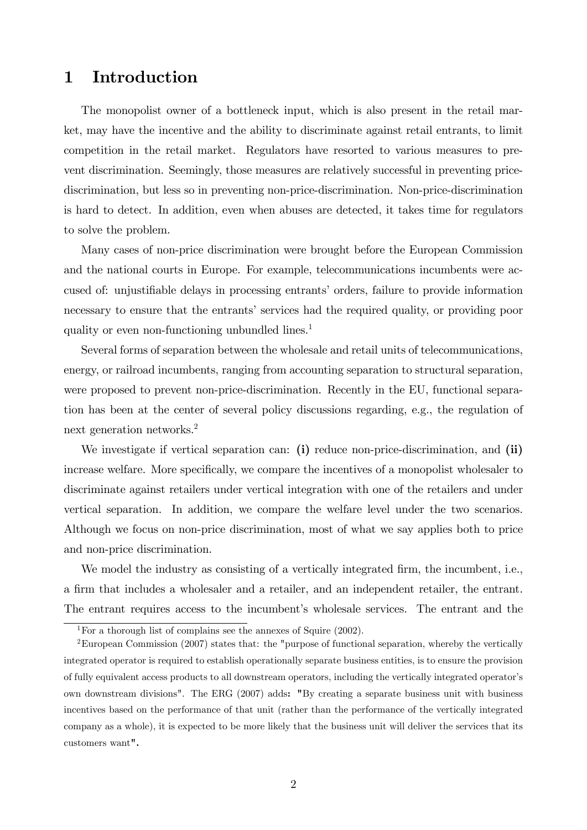# 1 Introduction

The monopolist owner of a bottleneck input, which is also present in the retail market, may have the incentive and the ability to discriminate against retail entrants, to limit competition in the retail market. Regulators have resorted to various measures to prevent discrimination. Seemingly, those measures are relatively successful in preventing pricediscrimination, but less so in preventing non-price-discrimination. Non-price-discrimination is hard to detect. In addition, even when abuses are detected, it takes time for regulators to solve the problem.

Many cases of non-price discrimination were brought before the European Commission and the national courts in Europe. For example, telecommunications incumbents were accused of: unjustifiable delays in processing entrants' orders, failure to provide information necessary to ensure that the entrants' services had the required quality, or providing poor quality or even non-functioning unbundled lines.<sup>1</sup>

Several forms of separation between the wholesale and retail units of telecommunications, energy, or railroad incumbents, ranging from accounting separation to structural separation, were proposed to prevent non-price-discrimination. Recently in the EU, functional separation has been at the center of several policy discussions regarding, e.g., the regulation of next generation networks.<sup>2</sup>

We investigate if vertical separation can: (i) reduce non-price-discrimination, and (ii) increase welfare. More specifically, we compare the incentives of a monopolist wholesaler to discriminate against retailers under vertical integration with one of the retailers and under vertical separation. In addition, we compare the welfare level under the two scenarios. Although we focus on non-price discrimination, most of what we say applies both to price and non-price discrimination.

We model the industry as consisting of a vertically integrated firm, the incumbent, i.e., a Örm that includes a wholesaler and a retailer, and an independent retailer, the entrant. The entrant requires access to the incumbent's wholesale services. The entrant and the

<sup>&</sup>lt;sup>1</sup>For a thorough list of complains see the annexes of Squire  $(2002)$ .

<sup>2</sup>European Commission (2007) states that: the "purpose of functional separation, whereby the vertically integrated operator is required to establish operationally separate business entities, is to ensure the provision of fully equivalent access products to all downstream operators, including the vertically integrated operatorís own downstream divisions". The ERG (2007) adds: "By creating a separate business unit with business incentives based on the performance of that unit (rather than the performance of the vertically integrated company as a whole), it is expected to be more likely that the business unit will deliver the services that its customers want".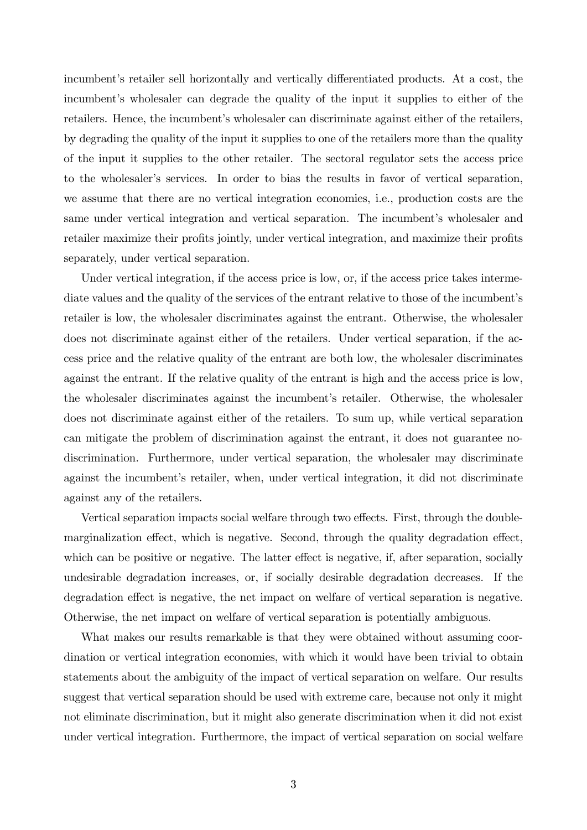incumbent's retailer sell horizontally and vertically differentiated products. At a cost, the incumbent's wholesaler can degrade the quality of the input it supplies to either of the retailers. Hence, the incumbent's wholesaler can discriminate against either of the retailers, by degrading the quality of the input it supplies to one of the retailers more than the quality of the input it supplies to the other retailer. The sectoral regulator sets the access price to the wholesaler's services. In order to bias the results in favor of vertical separation, we assume that there are no vertical integration economies, i.e., production costs are the same under vertical integration and vertical separation. The incumbent's wholesaler and retailer maximize their profits jointly, under vertical integration, and maximize their profits separately, under vertical separation.

Under vertical integration, if the access price is low, or, if the access price takes intermediate values and the quality of the services of the entrant relative to those of the incumbent's retailer is low, the wholesaler discriminates against the entrant. Otherwise, the wholesaler does not discriminate against either of the retailers. Under vertical separation, if the access price and the relative quality of the entrant are both low, the wholesaler discriminates against the entrant. If the relative quality of the entrant is high and the access price is low, the wholesaler discriminates against the incumbent's retailer. Otherwise, the wholesaler does not discriminate against either of the retailers. To sum up, while vertical separation can mitigate the problem of discrimination against the entrant, it does not guarantee nodiscrimination. Furthermore, under vertical separation, the wholesaler may discriminate against the incumbent's retailer, when, under vertical integration, it did not discriminate against any of the retailers.

Vertical separation impacts social welfare through two effects. First, through the doublemarginalization effect, which is negative. Second, through the quality degradation effect, which can be positive or negative. The latter effect is negative, if, after separation, socially undesirable degradation increases, or, if socially desirable degradation decreases. If the degradation effect is negative, the net impact on welfare of vertical separation is negative. Otherwise, the net impact on welfare of vertical separation is potentially ambiguous.

What makes our results remarkable is that they were obtained without assuming coordination or vertical integration economies, with which it would have been trivial to obtain statements about the ambiguity of the impact of vertical separation on welfare. Our results suggest that vertical separation should be used with extreme care, because not only it might not eliminate discrimination, but it might also generate discrimination when it did not exist under vertical integration. Furthermore, the impact of vertical separation on social welfare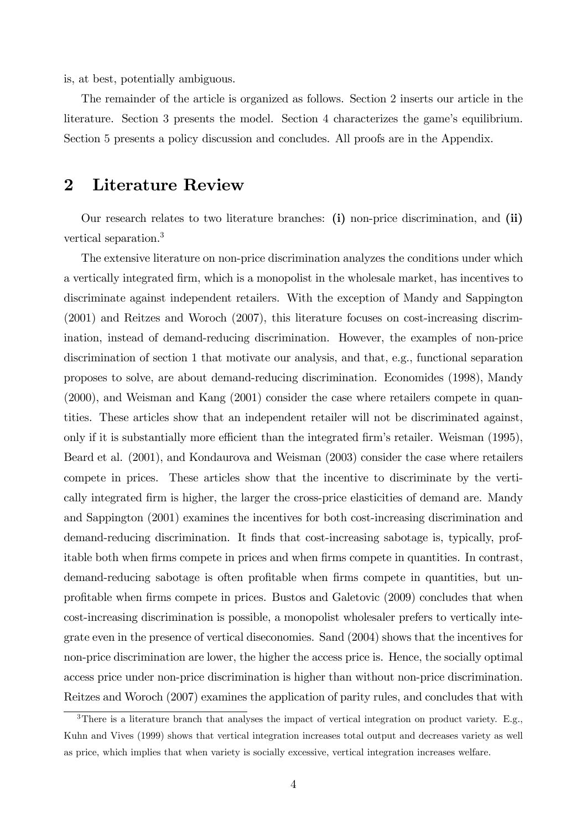is, at best, potentially ambiguous.

The remainder of the article is organized as follows. Section 2 inserts our article in the literature. Section 3 presents the model. Section 4 characterizes the game's equilibrium. Section 5 presents a policy discussion and concludes. All proofs are in the Appendix.

# 2 Literature Review

Our research relates to two literature branches: (i) non-price discrimination, and (ii) vertical separation.<sup>3</sup>

The extensive literature on non-price discrimination analyzes the conditions under which a vertically integrated firm, which is a monopolist in the wholesale market, has incentives to discriminate against independent retailers. With the exception of Mandy and Sappington (2001) and Reitzes and Woroch (2007), this literature focuses on cost-increasing discrimination, instead of demand-reducing discrimination. However, the examples of non-price discrimination of section 1 that motivate our analysis, and that, e.g., functional separation proposes to solve, are about demand-reducing discrimination. Economides (1998), Mandy (2000), and Weisman and Kang (2001) consider the case where retailers compete in quantities. These articles show that an independent retailer will not be discriminated against, only if it is substantially more efficient than the integrated firm's retailer. Weisman (1995), Beard et al. (2001), and Kondaurova and Weisman (2003) consider the case where retailers compete in prices. These articles show that the incentive to discriminate by the vertically integrated Örm is higher, the larger the cross-price elasticities of demand are. Mandy and Sappington (2001) examines the incentives for both cost-increasing discrimination and demand-reducing discrimination. It finds that cost-increasing sabotage is, typically, profitable both when firms compete in prices and when firms compete in quantities. In contrast, demand-reducing sabotage is often profitable when firms compete in quantities, but unproÖtable when Örms compete in prices. Bustos and Galetovic (2009) concludes that when cost-increasing discrimination is possible, a monopolist wholesaler prefers to vertically integrate even in the presence of vertical diseconomies. Sand (2004) shows that the incentives for non-price discrimination are lower, the higher the access price is. Hence, the socially optimal access price under non-price discrimination is higher than without non-price discrimination. Reitzes and Woroch (2007) examines the application of parity rules, and concludes that with

<sup>&</sup>lt;sup>3</sup>There is a literature branch that analyses the impact of vertical integration on product variety. E.g., Kuhn and Vives (1999) shows that vertical integration increases total output and decreases variety as well as price, which implies that when variety is socially excessive, vertical integration increases welfare.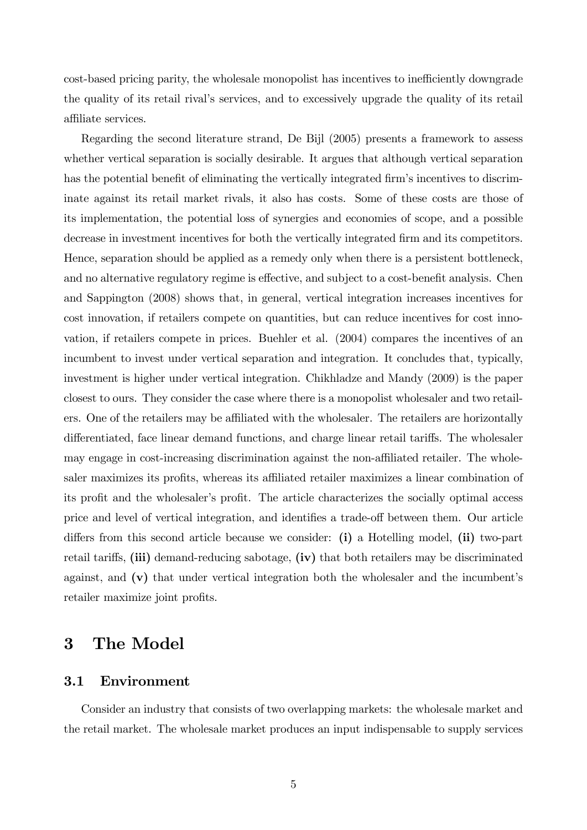cost-based pricing parity, the wholesale monopolist has incentives to inefficiently downgrade the quality of its retail rivalís services, and to excessively upgrade the quality of its retail affiliate services.

Regarding the second literature strand, De Bijl (2005) presents a framework to assess whether vertical separation is socially desirable. It argues that although vertical separation has the potential benefit of eliminating the vertically integrated firm's incentives to discriminate against its retail market rivals, it also has costs. Some of these costs are those of its implementation, the potential loss of synergies and economies of scope, and a possible decrease in investment incentives for both the vertically integrated firm and its competitors. Hence, separation should be applied as a remedy only when there is a persistent bottleneck, and no alternative regulatory regime is effective, and subject to a cost-benefit analysis. Chen and Sappington (2008) shows that, in general, vertical integration increases incentives for cost innovation, if retailers compete on quantities, but can reduce incentives for cost innovation, if retailers compete in prices. Buehler et al. (2004) compares the incentives of an incumbent to invest under vertical separation and integration. It concludes that, typically, investment is higher under vertical integration. Chikhladze and Mandy (2009) is the paper closest to ours. They consider the case where there is a monopolist wholesaler and two retailers. One of the retailers may be affiliated with the wholesaler. The retailers are horizontally differentiated, face linear demand functions, and charge linear retail tariffs. The wholesaler may engage in cost-increasing discrimination against the non-affiliated retailer. The wholesaler maximizes its profits, whereas its affiliated retailer maximizes a linear combination of its profit and the wholesaler's profit. The article characterizes the socially optimal access price and level of vertical integration, and identifies a trade-off between them. Our article differs from this second article because we consider: (i) a Hotelling model, (ii) two-part retail tariffs,  $(iii)$  demand-reducing sabotage,  $(iv)$  that both retailers may be discriminated against, and  $(v)$  that under vertical integration both the wholesaler and the incumbent's retailer maximize joint profits.

# 3 The Model

# 3.1 Environment

Consider an industry that consists of two overlapping markets: the wholesale market and the retail market. The wholesale market produces an input indispensable to supply services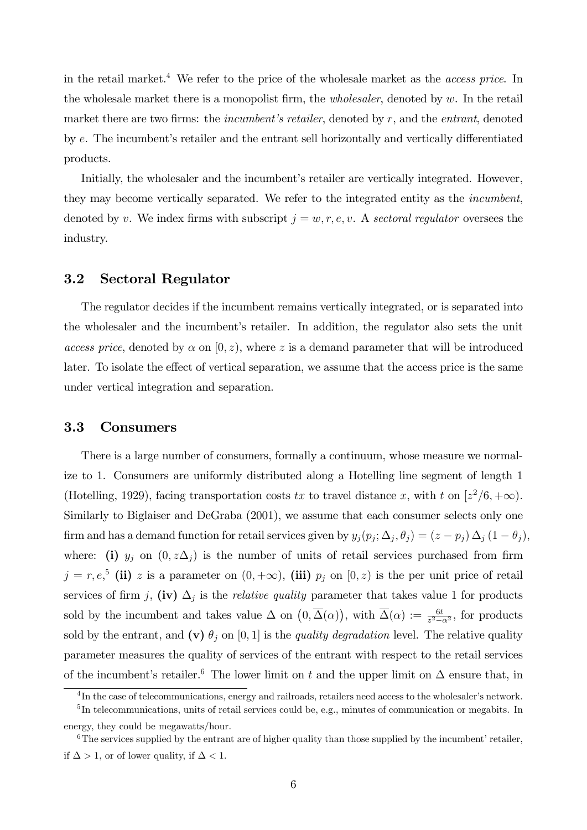in the retail market.<sup>4</sup> We refer to the price of the wholesale market as the *access price*. In the wholesale market there is a monopolist firm, the *wholesaler*, denoted by w. In the retail market there are two firms: the *incumbent's retailer*, denoted by  $r$ , and the *entrant*, denoted by  $e$ . The incumbent's retailer and the entrant sell horizontally and vertically differentiated products.

Initially, the wholesaler and the incumbent's retailer are vertically integrated. However, they may become vertically separated. We refer to the integrated entity as the incumbent, denoted by v. We index firms with subscript  $j = w, r, e, v$ . A sectoral regulator oversees the industry.

## 3.2 Sectoral Regulator

The regulator decides if the incumbent remains vertically integrated, or is separated into the wholesaler and the incumbent's retailer. In addition, the regulator also sets the unit access price, denoted by  $\alpha$  on  $[0, z)$ , where z is a demand parameter that will be introduced later. To isolate the effect of vertical separation, we assume that the access price is the same under vertical integration and separation.

## 3.3 Consumers

There is a large number of consumers, formally a continuum, whose measure we normalize to 1. Consumers are uniformly distributed along a Hotelling line segment of length 1 (Hotelling, 1929), facing transportation costs tx to travel distance x, with t on  $[z^2/6, +\infty)$ . Similarly to Biglaiser and DeGraba (2001), we assume that each consumer selects only one firm and has a demand function for retail services given by  $y_j(p_j; \Delta_j, \theta_j) = (z - p_j) \Delta_j (1 - \theta_j)$ , where: (i)  $y_j$  on  $(0, z\Delta_j)$  is the number of units of retail services purchased from firm  $j = r, e^{5}$  (ii) z is a parameter on  $(0, +\infty)$ , (iii)  $p_j$  on  $[0, z)$  is the per unit price of retail services of firm j, (iv)  $\Delta_j$  is the *relative quality* parameter that takes value 1 for products sold by the incumbent and takes value  $\Delta$  on  $(0, \overline{\Delta}(\alpha))$ , with  $\overline{\Delta}(\alpha) := \frac{6t}{z^2 - \alpha^2}$ , for products sold by the entrant, and (v)  $\theta_j$  on [0, 1] is the *quality degradation* level. The relative quality parameter measures the quality of services of the entrant with respect to the retail services of the incumbent's retailer.<sup>6</sup> The lower limit on t and the upper limit on  $\Delta$  ensure that, in

 ${}^{4}$ In the case of telecommunications, energy and railroads, retailers need access to the wholesaler's network. <sup>5</sup>In telecommunications, units of retail services could be, e.g., minutes of communication or megabits. In

energy, they could be megawatts/hour.

 $6$ The services supplied by the entrant are of higher quality than those supplied by the incumbent' retailer, if  $\Delta > 1$ , or of lower quality, if  $\Delta < 1$ .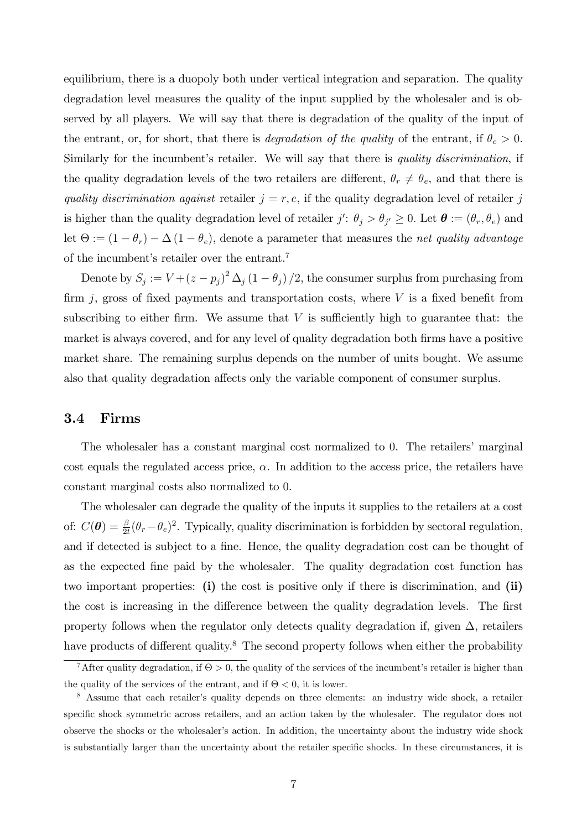equilibrium, there is a duopoly both under vertical integration and separation. The quality degradation level measures the quality of the input supplied by the wholesaler and is observed by all players. We will say that there is degradation of the quality of the input of the entrant, or, for short, that there is *degradation of the quality* of the entrant, if  $\theta_e > 0$ . Similarly for the incumbent's retailer. We will say that there is *quality discrimination*, if the quality degradation levels of the two retailers are different,  $\theta_r \neq \theta_e$ , and that there is quality discrimination against retailer  $j = r, e$ , if the quality degradation level of retailer j is higher than the quality degradation level of retailer  $j' : \theta_j > \theta_{j'} \geq 0$ . Let  $\boldsymbol{\theta} := (\theta_r, \theta_e)$  and let  $\Theta := (1 - \theta_r) - \Delta (1 - \theta_e)$ , denote a parameter that measures the *net quality advantage* of the incumbent's retailer over the entrant.<sup>7</sup>

Denote by  $S_j := V + (z - p_j)^2 \Delta_j (1 - \theta_j) / 2$ , the consumer surplus from purchasing from firm  $j$ , gross of fixed payments and transportation costs, where  $V$  is a fixed benefit from subscribing to either firm. We assume that  $V$  is sufficiently high to guarantee that: the market is always covered, and for any level of quality degradation both firms have a positive market share. The remaining surplus depends on the number of units bought. We assume also that quality degradation affects only the variable component of consumer surplus.

## 3.4 Firms

The wholesaler has a constant marginal cost normalized to 0. The retailers' marginal cost equals the regulated access price,  $\alpha$ . In addition to the access price, the retailers have constant marginal costs also normalized to 0.

The wholesaler can degrade the quality of the inputs it supplies to the retailers at a cost of:  $C(\theta) = \frac{\beta}{2t}(\theta_r - \theta_e)^2$ . Typically, quality discrimination is forbidden by sectoral regulation, and if detected is subject to a fine. Hence, the quality degradation cost can be thought of as the expected fine paid by the wholesaler. The quality degradation cost function has two important properties: (i) the cost is positive only if there is discrimination, and (ii) the cost is increasing in the difference between the quality degradation levels. The first property follows when the regulator only detects quality degradation if, given  $\Delta$ , retailers have products of different quality.<sup>8</sup> The second property follows when either the probability

<sup>&</sup>lt;sup>7</sup>After quality degradation, if  $\Theta > 0$ , the quality of the services of the incumbent's retailer is higher than the quality of the services of the entrant, and if  $\Theta < 0$ , it is lower.

<sup>&</sup>lt;sup>8</sup> Assume that each retailer's quality depends on three elements: an industry wide shock, a retailer specific shock symmetric across retailers, and an action taken by the wholesaler. The regulator does not observe the shocks or the wholesaler's action. In addition, the uncertainty about the industry wide shock is substantially larger than the uncertainty about the retailer specific shocks. In these circumstances, it is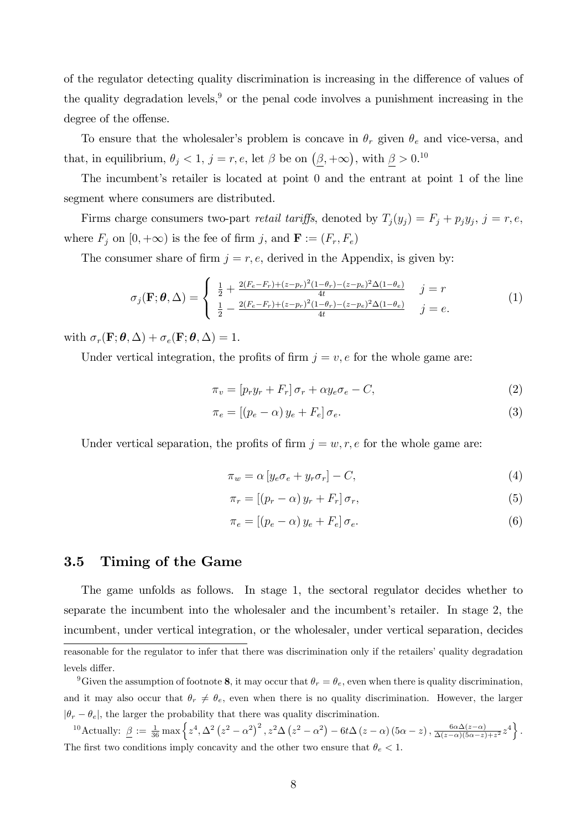of the regulator detecting quality discrimination is increasing in the difference of values of the quality degradation levels,<sup>9</sup> or the penal code involves a punishment increasing in the degree of the offense.

To ensure that the wholesaler's problem is concave in  $\theta_r$  given  $\theta_e$  and vice-versa, and that, in equilibrium,  $\theta_j < 1$ ,  $j = r, e$ , let  $\beta$  be on  $(\underline{\beta}, +\infty)$ , with  $\underline{\beta} > 0$ .<sup>10</sup>

The incumbent's retailer is located at point  $\theta$  and the entrant at point  $1$  of the line segment where consumers are distributed.

Firms charge consumers two-part *retail tariffs*, denoted by  $T_j(y_j) = F_j + p_j y_j$ ,  $j = r, e$ , where  $F_j$  on  $[0, +\infty)$  is the fee of firm j, and  $\mathbf{F} := (F_r, F_e)$ 

The consumer share of firm  $j = r, e$ , derived in the Appendix, is given by:

$$
\sigma_j(\mathbf{F}; \theta, \Delta) = \begin{cases} \frac{1}{2} + \frac{2(F_e - F_r) + (z - p_r)^2 (1 - \theta_r) - (z - p_e)^2 \Delta (1 - \theta_e)}{4t} & j = r \\ \frac{1}{2} - \frac{2(F_e - F_r) + (z - p_r)^2 (1 - \theta_r) - (z - p_e)^2 \Delta (1 - \theta_e)}{4t} & j = e. \end{cases}
$$
(1)

with  $\sigma_r(\mathbf{F}; \theta, \Delta) + \sigma_e(\mathbf{F}; \theta, \Delta) = 1$ .

Under vertical integration, the profits of firm  $j = v, e$  for the whole game are:

$$
\pi_v = [p_r y_r + F_r] \sigma_r + \alpha y_e \sigma_e - C,\tag{2}
$$

$$
\pi_e = \left[ (p_e - \alpha) y_e + F_e \right] \sigma_e. \tag{3}
$$

Under vertical separation, the profits of firm  $j = w, r, e$  for the whole game are:

$$
\pi_w = \alpha \left[ y_e \sigma_e + y_r \sigma_r \right] - C,\tag{4}
$$

$$
\pi_r = \left[ (p_r - \alpha) y_r + F_r \right] \sigma_r,\tag{5}
$$

$$
\pi_e = \left[ (p_e - \alpha) y_e + F_e \right] \sigma_e. \tag{6}
$$

### 3.5 Timing of the Game

The game unfolds as follows. In stage 1, the sectoral regulator decides whether to separate the incumbent into the wholesaler and the incumbent's retailer. In stage 2, the incumbent, under vertical integration, or the wholesaler, under vertical separation, decides reasonable for the regulator to infer that there was discrimination only if the retailers' quality degradation levels differ.

<sup>&</sup>lt;sup>9</sup>Given the assumption of footnote 8, it may occur that  $\theta_r = \theta_e$ , even when there is quality discrimination, and it may also occur that  $\theta_r \neq \theta_e$ , even when there is no quality discrimination. However, the larger  $|\theta_r - \theta_e|$ , the larger the probability that there was quality discrimination.

<sup>&</sup>lt;sup>10</sup> Actually:  $\underline{\beta} := \frac{1}{36} \max \left\{ z^4, \Delta^2 \left( z^2 - \alpha^2 \right)^2, z^2 \Delta \left( z^2 - \alpha^2 \right) - 6t \Delta \left( z - \alpha \right) \left( 5\alpha - z \right), \frac{6\alpha\Delta(z-\alpha)}{\Delta(z-\alpha)(5\alpha-z)} \right\}$  $\frac{6\alpha\Delta(z-\alpha)}{\Delta(z-\alpha)(5\alpha-z)+z^2}z^4\bigg\}.$ The first two conditions imply concavity and the other two ensure that  $\theta_e < 1$ .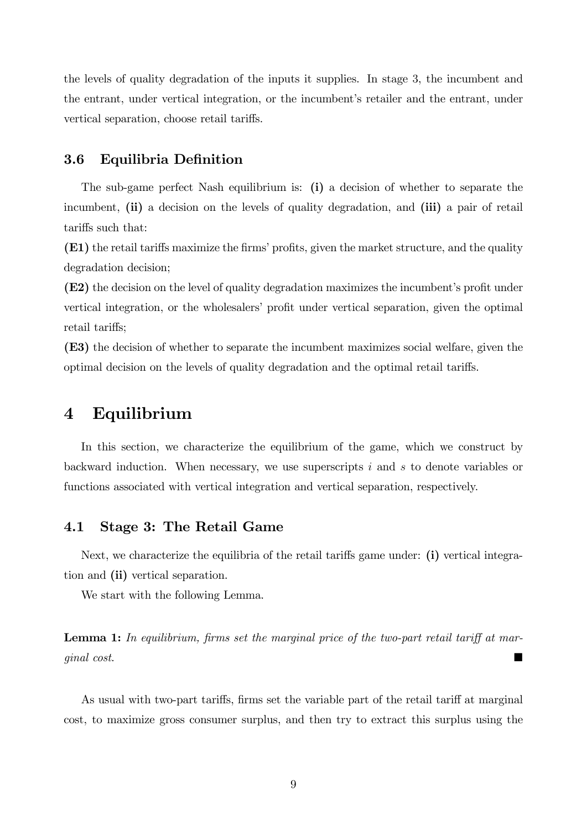the levels of quality degradation of the inputs it supplies. In stage 3, the incumbent and the entrant, under vertical integration, or the incumbent's retailer and the entrant, under vertical separation, choose retail tariffs.

## 3.6 Equilibria Definition

The sub-game perfect Nash equilibrium is: (i) a decision of whether to separate the incumbent, (ii) a decision on the levels of quality degradation, and (iii) a pair of retail tariffs such that:

(E1) the retail tariffs maximize the firms' profits, given the market structure, and the quality degradation decision;

 $(E2)$  the decision on the level of quality degradation maximizes the incumbent's profit under vertical integration, or the wholesalers' profit under vertical separation, given the optimal retail tariffs;

(E3) the decision of whether to separate the incumbent maximizes social welfare, given the optimal decision on the levels of quality degradation and the optimal retail tariffs.

# 4 Equilibrium

In this section, we characterize the equilibrium of the game, which we construct by backward induction. When necessary, we use superscripts i and s to denote variables or functions associated with vertical integration and vertical separation, respectively.

# 4.1 Stage 3: The Retail Game

Next, we characterize the equilibria of the retail tariffs game under: (i) vertical integration and (ii) vertical separation.

We start with the following Lemma.

**Lemma 1:** In equilibrium, firms set the marginal price of the two-part retail tariff at marginal cost.

As usual with two-part tariffs, firms set the variable part of the retail tariff at marginal cost, to maximize gross consumer surplus, and then try to extract this surplus using the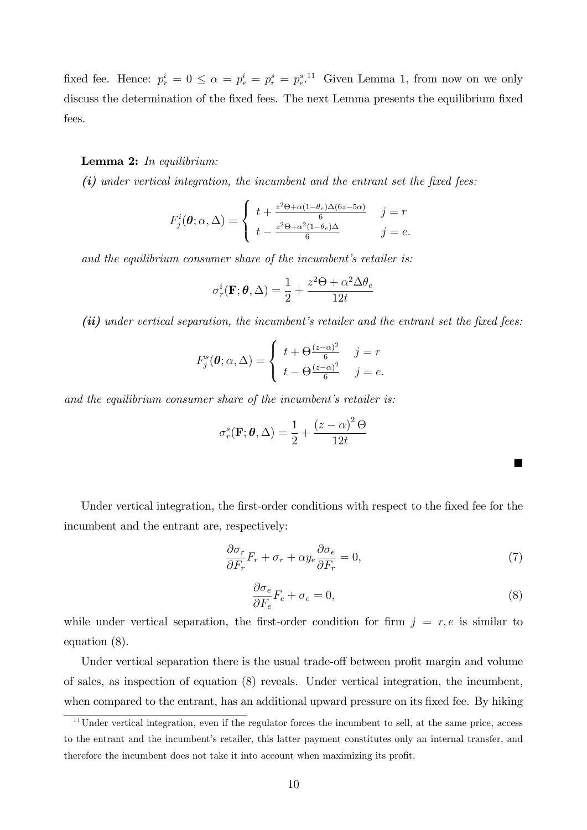fixed fee. Hence:  $p_r^i = 0 \le \alpha = p_e^i = p_r^s = p_e^{s}$ .<sup>11</sup> Given Lemma 1, from now on we only discuss the determination of the fixed fees. The next Lemma presents the equilibrium fixed fees.

#### Lemma 2: In equilibrium:

 $(i)$  under vertical integration, the incumbent and the entrant set the fixed fees:

$$
F_j^i(\theta; \alpha, \Delta) = \begin{cases} t + \frac{z^2 \Theta + \alpha (1 - \theta_e) \Delta (6z - 5\alpha)}{6} & j = r \\ t - \frac{z^2 \Theta + \alpha^2 (1 - \theta_e) \Delta}{6} & j = e. \end{cases}
$$

and the equilibrium consumer share of the incumbent's retailer is:

$$
\sigma_r^i(\mathbf{F}; \boldsymbol{\theta}, \Delta) = \frac{1}{2} + \frac{z^2 \Theta + \alpha^2 \Delta \theta_e}{12t}
$$

 $(ii)$  under vertical separation, the incumbent's retailer and the entrant set the fixed fees:

$$
F_j^s(\theta; \alpha, \Delta) = \begin{cases} t + \Theta \frac{(z - \alpha)^2}{6} & j = r \\ t - \Theta \frac{(z - \alpha)^2}{6} & j = e. \end{cases}
$$

and the equilibrium consumer share of the incumbent's retailer is:

$$
\sigma_r^s(\mathbf{F}; \boldsymbol{\theta}, \Delta) = \frac{1}{2} + \frac{(z - \alpha)^2 \Theta}{12t}
$$

Under vertical integration, the first-order conditions with respect to the fixed fee for the incumbent and the entrant are, respectively:

$$
\frac{\partial \sigma_r}{\partial F_r} F_r + \sigma_r + \alpha y_e \frac{\partial \sigma_e}{\partial F_r} = 0,
$$
\n(7)

$$
\frac{\partial \sigma_e}{\partial F_e} F_e + \sigma_e = 0,\tag{8}
$$

while under vertical separation, the first-order condition for firm  $j = r, e$  is similar to equation (8).

Under vertical separation there is the usual trade-off between profit margin and volume of sales, as inspection of equation (8) reveals. Under vertical integration, the incumbent, when compared to the entrant, has an additional upward pressure on its fixed fee. By hiking

 $11$ Under vertical integration, even if the regulator forces the incumbent to sell, at the same price, access to the entrant and the incumbent's retailer, this latter payment constitutes only an internal transfer, and therefore the incumbent does not take it into account when maximizing its profit.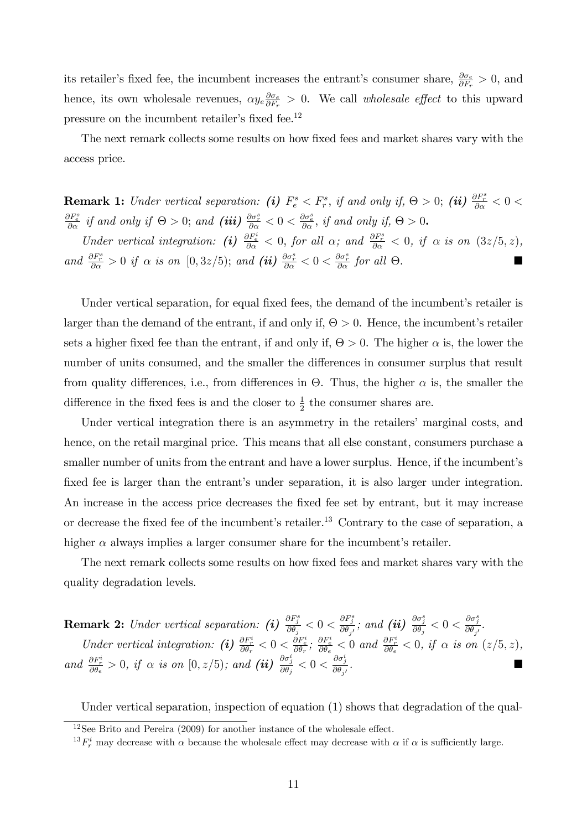its retailer's fixed fee, the incumbent increases the entrant's consumer share,  $\frac{\partial \sigma_e}{\partial F_r} > 0$ , and hence, its own wholesale revenues,  $\alpha y_e \frac{\partial \sigma_e}{\partial F_x}$  $\frac{\partial \sigma_e}{\partial F_r} > 0$ . We call *wholesale effect* to this upward pressure on the incumbent retailer's fixed fee. $^{12}$ 

The next remark collects some results on how fixed fees and market shares vary with the access price.

**Remark 1:** Under vertical separation: (i)  $F_e^s < F_r^s$ , if and only if,  $\Theta > 0$ ; (ii)  $\frac{\partial F_r^s}{\partial \alpha} < 0$  $\frac{\partial F_e^s}{\partial \alpha}$  if and only if  $\Theta > 0$ ; and (iii)  $\frac{\partial \sigma_r^s}{\partial \alpha} < 0 < \frac{\partial \sigma_e^s}{\partial \alpha}$ , if and only if,  $\Theta > 0$ .

Under vertical integration: (i)  $\frac{\partial F_e^i}{\partial \alpha} < 0$ , for all  $\alpha$ ; and  $\frac{\partial F_r^s}{\partial \alpha} < 0$ , if  $\alpha$  is on  $(3z/5, z)$ , and  $\frac{\partial F_r^s}{\partial \alpha} > 0$  if  $\alpha$  is on  $[0, 3z/5)$ ; and (ii)  $\frac{\partial \sigma_r^s}{\partial \alpha} < 0 < \frac{\partial \sigma_r^s}{\partial \alpha}$  for all  $\Theta$ .

Under vertical separation, for equal fixed fees, the demand of the incumbent's retailer is larger than the demand of the entrant, if and only if,  $\Theta > 0$ . Hence, the incumbent's retailer sets a higher fixed fee than the entrant, if and only if,  $\Theta > 0$ . The higher  $\alpha$  is, the lower the number of units consumed, and the smaller the differences in consumer surplus that result from quality differences, i.e., from differences in  $\Theta$ . Thus, the higher  $\alpha$  is, the smaller the difference in the fixed fees is and the closer to  $\frac{1}{2}$  the consumer shares are.

Under vertical integration there is an asymmetry in the retailers' marginal costs, and hence, on the retail marginal price. This means that all else constant, consumers purchase a smaller number of units from the entrant and have a lower surplus. Hence, if the incumbent's fixed fee is larger than the entrant's under separation, it is also larger under integration. An increase in the access price decreases the fixed fee set by entrant, but it may increase or decrease the fixed fee of the incumbent's retailer.<sup>13</sup> Contrary to the case of separation, a higher  $\alpha$  always implies a larger consumer share for the incumbent's retailer.

The next remark collects some results on how fixed fees and market shares vary with the quality degradation levels.

**Remark 2:** Under vertical separation: (i)  $\frac{\partial F_j^s}{\partial \theta_j} < 0 < \frac{\partial F_j^s}{\partial \theta_{j'}}$ ; and (ii)  $\frac{\partial \sigma_j^s}{\partial \theta_j} < 0 < \frac{\partial \sigma_j^s}{\partial \theta_{j'}}$ . Under vertical integration: (i)  $\frac{\partial F_i^i}{\partial \theta_r} < 0 < \frac{\partial F_e^i}{\partial \theta_r}$ ;  $\frac{\partial F_e^i}{\partial \theta_e} < 0$  and  $\frac{\partial F_i^i}{\partial \theta_e} < 0$ , if  $\alpha$  is on  $(z/5, z)$ , and  $\frac{\partial F_r^i}{\partial \theta_e} > 0$ , if  $\alpha$  is on  $[0, z/5)$ ; and  $(ii)$   $\frac{\partial \sigma_j^i}{\partial \theta_j} < 0 < \frac{\partial \sigma_j^i}{\partial \theta_{j'}}$ .

Under vertical separation, inspection of equation (1) shows that degradation of the qual-

 $12$ See Brito and Pereira (2009) for another instance of the wholesale effect.

<sup>&</sup>lt;sup>13</sup> $F_r^i$  may decrease with  $\alpha$  because the wholesale effect may decrease with  $\alpha$  if  $\alpha$  is sufficiently large.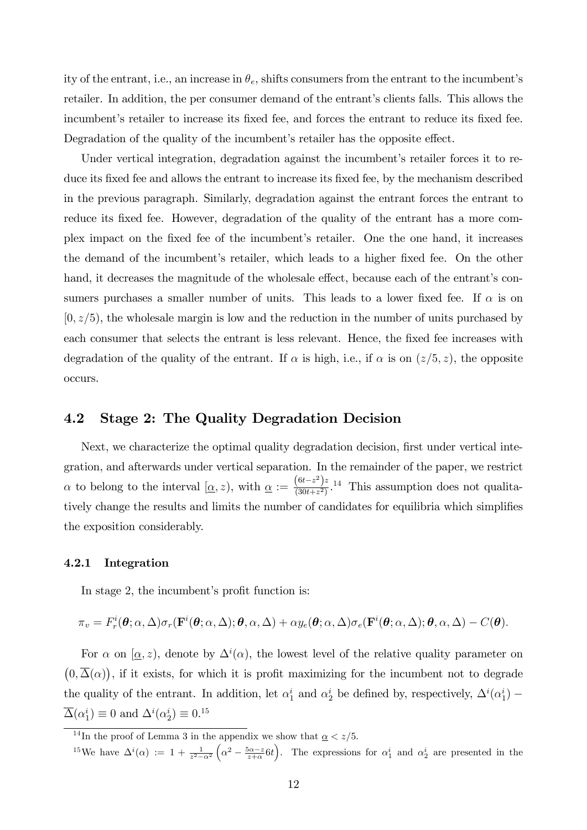ity of the entrant, i.e., an increase in  $\theta_e$ , shifts consumers from the entrant to the incumbent's retailer. In addition, the per consumer demand of the entrant's clients falls. This allows the incumbent's retailer to increase its fixed fee, and forces the entrant to reduce its fixed fee. Degradation of the quality of the incumbent's retailer has the opposite effect.

Under vertical integration, degradation against the incumbent's retailer forces it to reduce its fixed fee and allows the entrant to increase its fixed fee, by the mechanism described in the previous paragraph. Similarly, degradation against the entrant forces the entrant to reduce its fixed fee. However, degradation of the quality of the entrant has a more complex impact on the Öxed fee of the incumbentís retailer. One the one hand, it increases the demand of the incumbent's retailer, which leads to a higher fixed fee. On the other hand, it decreases the magnitude of the wholesale effect, because each of the entrant's consumers purchases a smaller number of units. This leads to a lower fixed fee. If  $\alpha$  is on  $[0, z/5)$ , the wholesale margin is low and the reduction in the number of units purchased by each consumer that selects the entrant is less relevant. Hence, the fixed fee increases with degradation of the quality of the entrant. If  $\alpha$  is high, i.e., if  $\alpha$  is on  $(z/5, z)$ , the opposite occurs.

## 4.2 Stage 2: The Quality Degradation Decision

Next, we characterize the optimal quality degradation decision, first under vertical integration, and afterwards under vertical separation. In the remainder of the paper, we restrict  $\alpha$  to belong to the interval  $[\alpha, z)$ , with  $\alpha := \frac{(6t-z^2)z}{(30t+z^2)}$  $\frac{(6b-2)^2}{(30t+z^2)}$ .<sup>14</sup> This assumption does not qualitatively change the results and limits the number of candidates for equilibria which simplifies the exposition considerably.

### 4.2.1 Integration

In stage 2, the incumbent's profit function is:

$$
\pi_v = F^i_r(\boldsymbol{\theta}; \alpha, \Delta) \sigma_r(\mathbf{F}^i(\boldsymbol{\theta}; \alpha, \Delta); \boldsymbol{\theta}, \alpha, \Delta) + \alpha y_e(\boldsymbol{\theta}; \alpha, \Delta) \sigma_e(\mathbf{F}^i(\boldsymbol{\theta}; \alpha, \Delta); \boldsymbol{\theta}, \alpha, \Delta) - C(\boldsymbol{\theta}).
$$

For  $\alpha$  on  $[\alpha, z)$ , denote by  $\Delta^i(\alpha)$ , the lowest level of the relative quality parameter on  $(0, \overline{\Delta}(\alpha))$ , if it exists, for which it is profit maximizing for the incumbent not to degrade the quality of the entrant. In addition, let  $\alpha_1^i$  and  $\alpha_2^i$  be defined by, respectively,  $\Delta^i(\alpha_1^i)$  –  $\overline{\Delta}(\alpha_1^i) \equiv 0$  and  $\Delta^i(\alpha_2^i) \equiv 0.15$ 

 $^{14}{\rm In}$  the proof of Lemma 3 in the appendix we show that  $\underline{\alpha} < z/5.$ 

<sup>&</sup>lt;sup>15</sup>We have  $\Delta^i(\alpha) := 1 + \frac{1}{z^2 - \alpha^2}$  $\left(\alpha^2 - \frac{5\alpha - z}{z+\alpha}6t\right)$ . The expressions for  $\alpha_1^i$  and  $\alpha_2^i$  are presented in the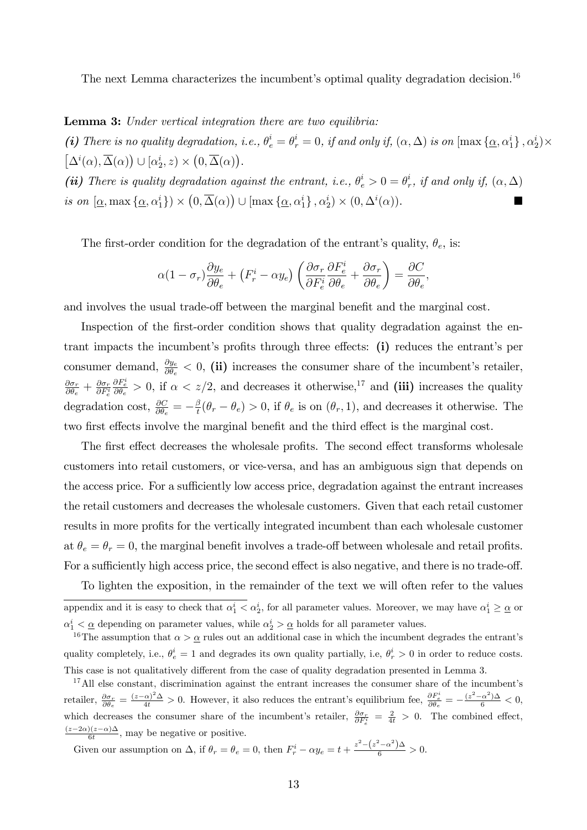The next Lemma characterizes the incumbent's optimal quality degradation decision.<sup>16</sup>

**Lemma 3:** Under vertical integration there are two equilibria:

(i) There is no quality degradation, i.e.,  $\theta_e^i = \theta_r^i = 0$ , if and only if,  $(\alpha, \Delta)$  is on  $[\max{\{\underline{\alpha}, \alpha_1^i\}}, \alpha_2^i) \times$  $\left[\Delta^i(\alpha), \overline{\Delta}(\alpha)\right) \cup \left[\alpha_2^i, z\right) \times \left(0, \overline{\Delta}(\alpha)\right).$ 

(ii) There is quality degradation against the entrant, i.e.,  $\theta_e^i > 0 = \theta_i^i$  $_{r}^{i},$  if and only if,  $(\alpha, \Delta)$ is on  $[\underline{\alpha}, \max{\{\underline{\alpha}, \alpha_1^i\}}\}\times (0, \overline{\Delta}(\alpha)) \cup [\max{\{\underline{\alpha}, \alpha_1^i\}}, \alpha_2^i)\times (0, \Delta^i(\alpha)).$ 

The first-order condition for the degradation of the entrant's quality,  $\theta_e$ , is:

$$
\alpha (1 - \sigma_r) \frac{\partial y_e}{\partial \theta_e} + \left( F_r^i - \alpha y_e \right) \left( \frac{\partial \sigma_r}{\partial F_e^i} \frac{\partial F_e^i}{\partial \theta_e} + \frac{\partial \sigma_r}{\partial \theta_e} \right) = \frac{\partial C}{\partial \theta_e},
$$

and involves the usual trade-off between the marginal benefit and the marginal cost.

Inspection of the first-order condition shows that quality degradation against the entrant impacts the incumbent's profits through three effects: (i) reduces the entrant's per consumer demand,  $\frac{\partial y_e}{\partial \theta_e} < 0$ , (ii) increases the consumer share of the incumbent's retailer,  $\partial \sigma_r$  $\frac{\partial \sigma_r}{\partial \theta_e} + \frac{\partial \sigma_r}{\partial F_e^i}$  $\partial F_e^i$  $\frac{\partial F_e^i}{\partial \theta_e} > 0$ , if  $\alpha < z/2$ , and decreases it otherwise,<sup>17</sup> and (iii) increases the quality degradation cost,  $\frac{\partial C}{\partial \theta_e} = -\frac{\beta}{t}$  $t_{\bar{t}}^{\beta}(\theta_r - \theta_e) > 0$ , if  $\theta_e$  is on  $(\theta_r, 1)$ , and decreases it otherwise. The two first effects involve the marginal benefit and the third effect is the marginal cost.

The first effect decreases the wholesale profits. The second effect transforms wholesale customers into retail customers, or vice-versa, and has an ambiguous sign that depends on the access price. For a sufficiently low access price, degradation against the entrant increases the retail customers and decreases the wholesale customers. Given that each retail customer results in more profits for the vertically integrated incumbent than each wholesale customer at  $\theta_e = \theta_r = 0$ , the marginal benefit involves a trade-off between wholesale and retail profits. For a sufficiently high access price, the second effect is also negative, and there is no trade-off.

Given our assumption on  $\Delta$ , if  $\theta_r = \theta_e = 0$ , then  $F_r^i - \alpha y_e = t + \frac{z^2 - (z^2 - \alpha^2)\Delta}{6} > 0$ .

To lighten the exposition, in the remainder of the text we will often refer to the values appendix and it is easy to check that  $\alpha_1^i < \alpha_2^i$ , for all parameter values. Moreover, we may have  $\alpha_1^i \geq \alpha$  or  $\alpha_1^i < \underline{\alpha}$  depending on parameter values, while  $\alpha_2^i > \underline{\alpha}$  holds for all parameter values.

<sup>&</sup>lt;sup>16</sup>The assumption that  $\alpha > \underline{\alpha}$  rules out an additional case in which the incumbent degrades the entrant's quality completely, i.e.,  $\theta_e^i = 1$  and degrades its own quality partially, i.e,  $\theta_r^i > 0$  in order to reduce costs. This case is not qualitatively different from the case of quality degradation presented in Lemma 3.

 $17$ All else constant, discrimination against the entrant increases the consumer share of the incumbent's retailer,  $\frac{\partial \sigma_r}{\partial \theta_e} = \frac{(z-\alpha)^2 \Delta}{4t} > 0$ . However, it also reduces the entrant's equilibrium fee,  $\frac{\partial F_e^i}{\partial \theta_e} = -\frac{(z^2-\alpha^2)\Delta}{6} < 0$ , which decreases the consumer share of the incumbent's retailer,  $\frac{\partial \sigma_r}{\partial F_e^i} = \frac{2}{4t} > 0$ . The combined effect,  $\frac{(z-2\alpha)(z-\alpha)\Delta}{6t}$ , may be negative or positive.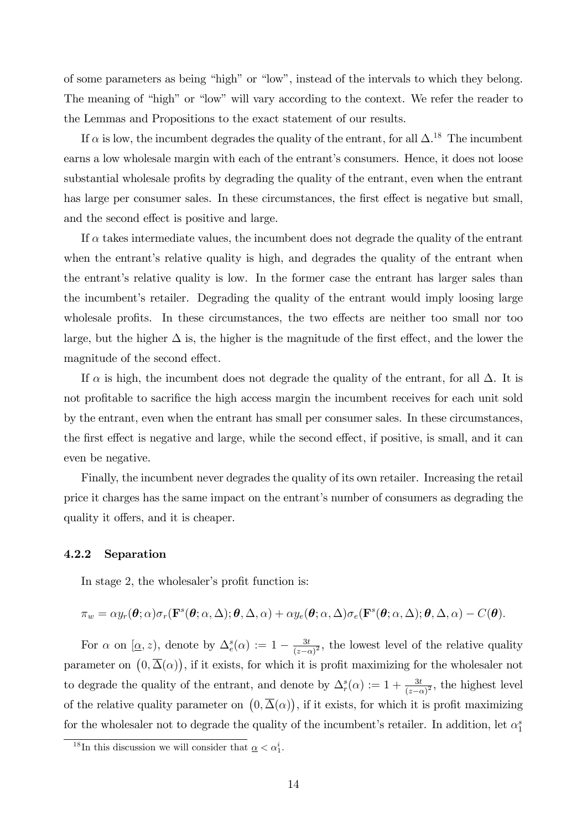of some parameters as being "high" or "low", instead of the intervals to which they belong. The meaning of "high" or "low" will vary according to the context. We refer the reader to the Lemmas and Propositions to the exact statement of our results.

If  $\alpha$  is low, the incumbent degrades the quality of the entrant, for all  $\Delta$ .<sup>18</sup> The incumbent earns a low wholesale margin with each of the entrant's consumers. Hence, it does not loose substantial wholesale profits by degrading the quality of the entrant, even when the entrant has large per consumer sales. In these circumstances, the first effect is negative but small, and the second effect is positive and large.

If  $\alpha$  takes intermediate values, the incumbent does not degrade the quality of the entrant when the entrant's relative quality is high, and degrades the quality of the entrant when the entrant's relative quality is low. In the former case the entrant has larger sales than the incumbent's retailer. Degrading the quality of the entrant would imply loosing large wholesale profits. In these circumstances, the two effects are neither too small nor too large, but the higher  $\Delta$  is, the higher is the magnitude of the first effect, and the lower the magnitude of the second effect.

If  $\alpha$  is high, the incumbent does not degrade the quality of the entrant, for all  $\Delta$ . It is not profitable to sacrifice the high access margin the incumbent receives for each unit sold by the entrant, even when the entrant has small per consumer sales. In these circumstances, the first effect is negative and large, while the second effect, if positive, is small, and it can even be negative.

Finally, the incumbent never degrades the quality of its own retailer. Increasing the retail price it charges has the same impact on the entrant's number of consumers as degrading the quality it offers, and it is cheaper.

## 4.2.2 Separation

In stage 2, the wholesaler's profit function is:

$$
\pi_w = \alpha y_r(\boldsymbol{\theta}; \alpha) \sigma_r(\mathbf{F}^s(\boldsymbol{\theta}; \alpha, \Delta); \boldsymbol{\theta}, \Delta, \alpha) + \alpha y_e(\boldsymbol{\theta}; \alpha, \Delta) \sigma_e(\mathbf{F}^s(\boldsymbol{\theta}; \alpha, \Delta); \boldsymbol{\theta}, \Delta, \alpha) - C(\boldsymbol{\theta}).
$$

For  $\alpha$  on  $[\underline{\alpha}, z)$ , denote by  $\Delta_e^s(\alpha) := 1 - \frac{3t}{(z-\alpha)}$  $\frac{3t}{(z-\alpha)^2}$ , the lowest level of the relative quality parameter on  $(0, \overline{\Delta}(\alpha))$ , if it exists, for which it is profit maximizing for the wholesaler not to degrade the quality of the entrant, and denote by  $\Delta_r^s(\alpha) := 1 + \frac{3t}{(z-\alpha)^2}$ , the highest level of the relative quality parameter on  $(0, \overline{\Delta}(\alpha))$ , if it exists, for which it is profit maximizing for the wholesaler not to degrade the quality of the incumbent's retailer. In addition, let  $\alpha_1^s$ 

<sup>&</sup>lt;sup>18</sup>In this discussion we will consider that  $\underline{\alpha} < \alpha_1^i$ .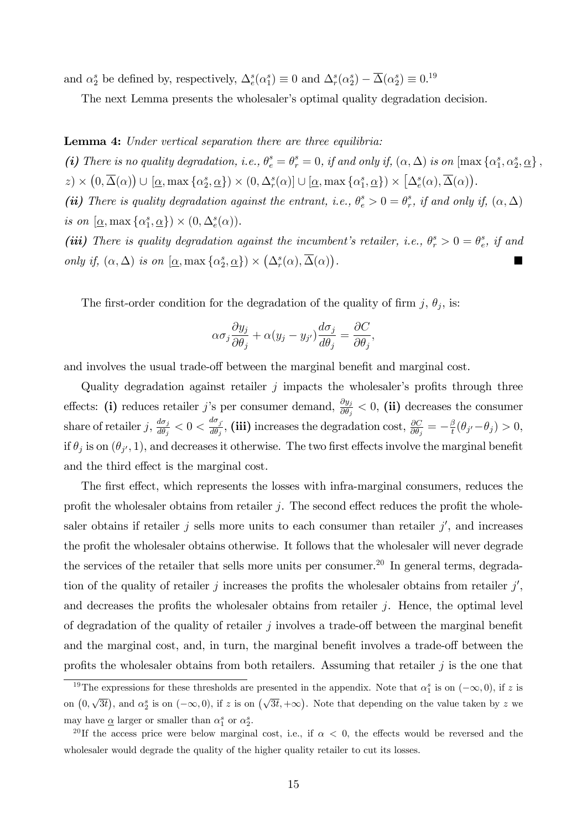and  $\alpha_2^s$  be defined by, respectively,  $\Delta_e^s(\alpha_1^s) \equiv 0$  and  $\Delta_r^s(\alpha_2^s) - \overline{\Delta}(\alpha_2^s) \equiv 0.19$ 

The next Lemma presents the wholesaler's optimal quality degradation decision.

#### Lemma 4: Under vertical separation there are three equilibria:

(i) There is no quality degradation, i.e.,  $\theta_e^s = \theta_r^s = 0$ , if and only if,  $(\alpha, \Delta)$  is on  $[\max{\alpha_1^s, \alpha_2^s, \alpha}$ ,  $z) \times (0, \overline{\Delta}(\alpha)) \cup [\underline{\alpha}, \max{\alpha_2^s, \underline{\alpha}}) \times (0, \Delta_r^s(\alpha)] \cup [\underline{\alpha}, \max{\alpha_1^s, \underline{\alpha}}) \times [\Delta_e^s(\alpha), \overline{\Delta}(\alpha)].$ 

(ii) There is quality degradation against the entrant, i.e.,  $\theta_e^s > 0 = \theta_r^s$  $_{r}^{s},$  if and only if,  $(\alpha, \Delta)$ is on  $[\underline{\alpha}, \max{\{\alpha_1^s, \underline{\alpha}\}}) \times (0, \Delta_e^s(\alpha)).$ 

(iii) There is quality degradation against the incumbent's retailer, i.e.,  $\theta_r^s > 0 = \theta_e^s$  $\frac{s}{e}$ , if and only if,  $(\alpha, \Delta)$  is on  $[\underline{\alpha}, \max{\alpha^s_2, \underline{\alpha}}) \times (\Delta^s_r(\alpha), \overline{\Delta}(\alpha))$ . The contract of the contract of the contract of

The first-order condition for the degradation of the quality of firm  $j, \theta_j$ , is:

$$
\alpha \sigma_j \frac{\partial y_j}{\partial \theta_j} + \alpha (y_j - y_{j'}) \frac{d \sigma_j}{d \theta_j} = \frac{\partial C}{\partial \theta_j},
$$

and involves the usual trade-off between the marginal benefit and marginal cost.

Quality degradation against retailer  $j$  impacts the wholesaler's profits through three effects: (i) reduces retailer j's per consumer demand,  $\frac{\partial y_j}{\partial \theta_j} < 0$ , (ii) decreases the consumer share of retailer j,  $\frac{d\sigma_j}{d\theta_j}$  $\frac{d\sigma_j}{d\theta_j} < 0 < \frac{d\sigma_j}{d\theta_j}$  $\frac{d\sigma_j}{d\theta_j}$ , (iii) increases the degradation cost,  $\frac{\partial C}{\partial \theta_j} = -\frac{\beta_j}{t}$  $\frac{\beta}{t}(\theta_{j'}-\theta_j)>0,$ if  $\theta_j$  is on  $(\theta_{j'}, 1)$ , and decreases it otherwise. The two first effects involve the marginal benefit and the third effect is the marginal cost.

The first effect, which represents the losses with infra-marginal consumers, reduces the profit the wholesaler obtains from retailer  $j$ . The second effect reduces the profit the wholesaler obtains if retailer  $j$  sells more units to each consumer than retailer  $j'$ , and increases the profit the wholesaler obtains otherwise. It follows that the wholesaler will never degrade the services of the retailer that sells more units per consumer.<sup>20</sup> In general terms, degradation of the quality of retailer j increases the profits the wholesaler obtains from retailer  $j'$ , and decreases the profits the wholesaler obtains from retailer  $j$ . Hence, the optimal level of degradation of the quality of retailer  $j$  involves a trade-off between the marginal benefit and the marginal cost, and, in turn, the marginal benefit involves a trade-off between the profits the wholesaler obtains from both retailers. Assuming that retailer  $j$  is the one that

<sup>&</sup>lt;sup>19</sup>The expressions for these thresholds are presented in the appendix. Note that  $\alpha_1^s$  is on  $(-\infty,0)$ , if z is on  $(0, \sqrt{3t})$ , and  $\alpha_2^s$  is on  $(-\infty, 0)$ , if z is on  $(\sqrt{3t}, +\infty)$ . Note that depending on the value taken by z we may have  $\underline{\alpha}$  larger or smaller than  $\alpha_1^s$  or  $\alpha_2^s$ .

<sup>&</sup>lt;sup>20</sup>If the access price were below marginal cost, i.e., if  $\alpha$  < 0, the effects would be reversed and the wholesaler would degrade the quality of the higher quality retailer to cut its losses.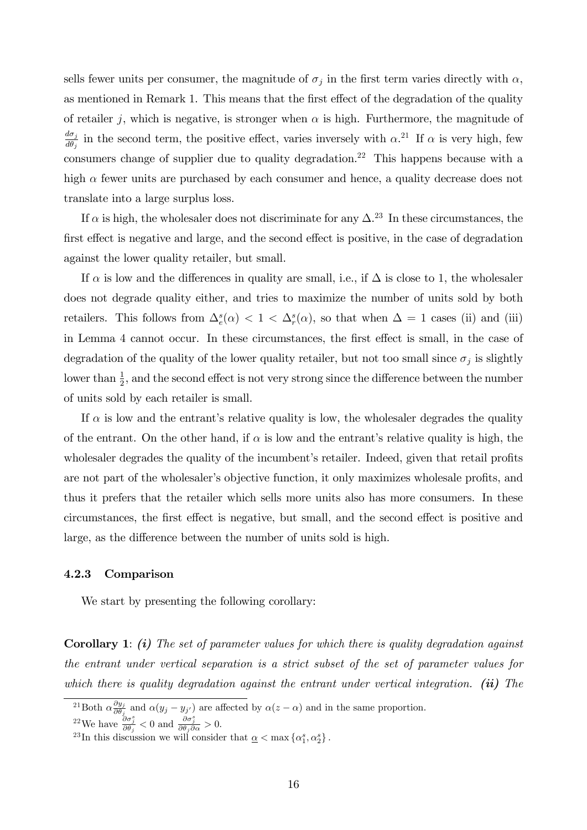sells fewer units per consumer, the magnitude of  $\sigma_j$  in the first term varies directly with  $\alpha$ , as mentioned in Remark 1. This means that the first effect of the degradation of the quality of retailer j, which is negative, is stronger when  $\alpha$  is high. Furthermore, the magnitude of  $d\sigma_j$  $\frac{d\sigma_j}{d\theta_j}$  in the second term, the positive effect, varies inversely with  $\alpha$ .<sup>21</sup> If  $\alpha$  is very high, few consumers change of supplier due to quality degradation.<sup>22</sup> This happens because with a high  $\alpha$  fewer units are purchased by each consumer and hence, a quality decrease does not translate into a large surplus loss.

If  $\alpha$  is high, the wholesaler does not discriminate for any  $\Delta^{23}$  In these circumstances, the first effect is negative and large, and the second effect is positive, in the case of degradation against the lower quality retailer, but small.

If  $\alpha$  is low and the differences in quality are small, i.e., if  $\Delta$  is close to 1, the wholesaler does not degrade quality either, and tries to maximize the number of units sold by both retailers. This follows from  $\Delta_e^s(\alpha) < 1 < \Delta_r^s(\alpha)$ , so that when  $\Delta = 1$  cases (ii) and (iii) in Lemma 4 cannot occur. In these circumstances, the first effect is small, in the case of degradation of the quality of the lower quality retailer, but not too small since  $\sigma_j$  is slightly lower than  $\frac{1}{2}$ , and the second effect is not very strong since the difference between the number of units sold by each retailer is small.

If  $\alpha$  is low and the entrant's relative quality is low, the wholesaler degrades the quality of the entrant. On the other hand, if  $\alpha$  is low and the entrant's relative quality is high, the wholes aler degrades the quality of the incumbent's retailer. Indeed, given that retail profits are not part of the wholesaler's objective function, it only maximizes wholesale profits, and thus it prefers that the retailer which sells more units also has more consumers. In these circumstances, the first effect is negative, but small, and the second effect is positive and large, as the difference between the number of units sold is high.

#### 4.2.3 Comparison

We start by presenting the following corollary:

**Corollary 1:** (i) The set of parameter values for which there is quality degradation against the entrant under vertical separation is a strict subset of the set of parameter values for which there is quality degradation against the entrant under vertical integration. (ii) The

<sup>&</sup>lt;sup>21</sup>Both  $\alpha \frac{\partial y_j}{\partial \theta}$  $\frac{\partial g_j}{\partial \theta_j}$  and  $\alpha(y_j - y_{j'})$  are affected by  $\alpha(z - \alpha)$  and in the same proportion.

<sup>&</sup>lt;sup>22</sup>We have  $\frac{\partial \sigma_j^s}{\partial \theta_j} < 0$  and  $\frac{\partial \sigma_j^s}{\partial \theta_j \partial \alpha} > 0$ .

<sup>&</sup>lt;sup>23</sup>In this discussion we will consider that  $\underline{\alpha} < \max \{ \alpha_1^s, \alpha_2^s \}.$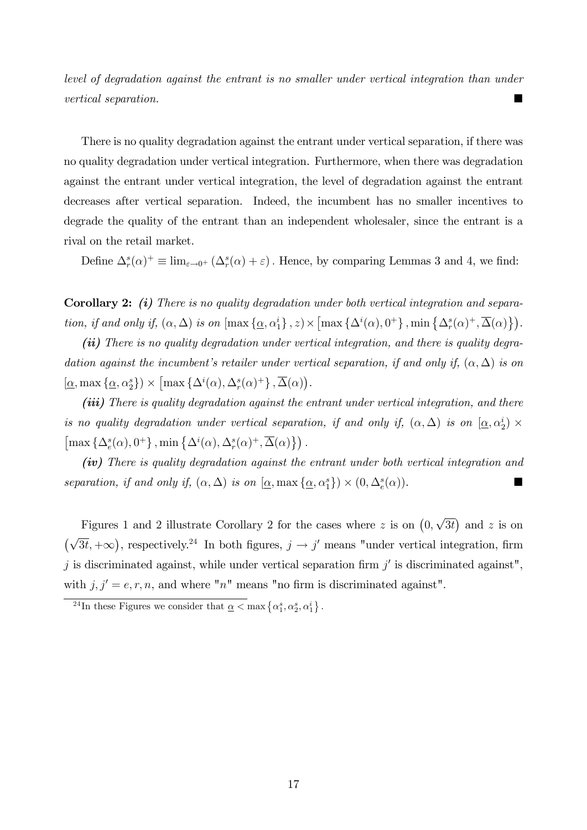level of degradation against the entrant is no smaller under vertical integration than under vertical separation.

There is no quality degradation against the entrant under vertical separation, if there was no quality degradation under vertical integration. Furthermore, when there was degradation against the entrant under vertical integration, the level of degradation against the entrant decreases after vertical separation. Indeed, the incumbent has no smaller incentives to degrade the quality of the entrant than an independent wholesaler, since the entrant is a rival on the retail market.

Define  $\Delta_r^s(\alpha)^+ \equiv \lim_{\varepsilon \to 0^+} (\Delta_r^s(\alpha) + \varepsilon)$ . Hence, by comparing Lemmas 3 and 4, we find:

Corollary 2: (i) There is no quality degradation under both vertical integration and separation, if and only if,  $(\alpha, \Delta)$  is on  $[\max{\{\underline{\alpha}, \alpha_1^i\}}, z) \times [\max{\{\Delta^i(\alpha), 0^+\}}, \min{\{\Delta^s_r(\alpha)^+, \overline{\Delta}(\alpha)\}}).$ 

(ii) There is no quality degradation under vertical integration, and there is quality degradation against the incumbent's retailer under vertical separation, if and only if,  $(\alpha, \Delta)$  is on  $[\underline{\alpha}, \max{\{\underline{\alpha}, \alpha^s_2\}}\}\times \left[\max{\{\Delta^i(\alpha), \Delta^s_r(\alpha)^+\}}, \overline{\Delta}(\alpha)\right).$ 

(iii) There is quality degradation against the entrant under vertical integration, and there is no quality degradation under vertical separation, if and only if,  $(\alpha, \Delta)$  is on  $[\underline{\alpha}, \alpha_2^i) \times$  $\left[\max\left\{\Delta^s_e(\alpha), 0^+\right\}, \min\left\{\Delta^i(\alpha), \Delta^s_r(\alpha)^+, \overline{\Delta}(\alpha)\right\}\right).$ 

(iv) There is quality degradation against the entrant under both vertical integration and separation, if and only if,  $(\alpha, \Delta)$  is on  $[\underline{\alpha}, \max{\{\underline{\alpha}, \alpha_1^s\}}) \times (0, \Delta_e^s(\alpha))$ .

Figures 1 and 2 illustrate Corollary 2 for the cases where z is on  $(0, \sqrt{3t})$  and z is on  $(\sqrt{3t}, +\infty)$ , respectively.<sup>24</sup> In both figures,  $j \to j'$  means "under vertical integration, firm j is discriminated against, while under vertical separation firm  $j'$  is discriminated against", with  $j, j' = e, r, n$ , and where "n" means "no firm is discriminated against".

<sup>&</sup>lt;sup>24</sup>In these Figures we consider that  $\underline{\alpha} < \max \{ \alpha_1^s, \alpha_2^s, \alpha_1^i \}$ .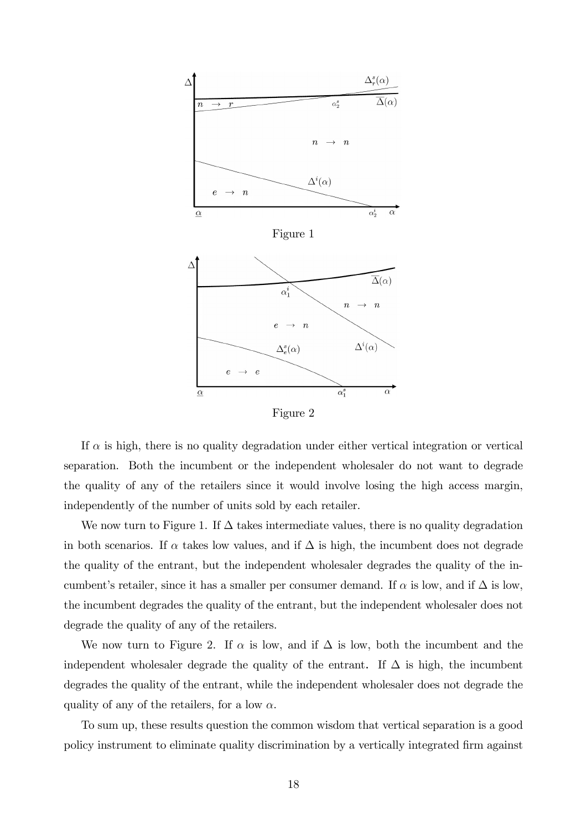

Figure 2

If  $\alpha$  is high, there is no quality degradation under either vertical integration or vertical separation. Both the incumbent or the independent wholesaler do not want to degrade the quality of any of the retailers since it would involve losing the high access margin, independently of the number of units sold by each retailer.

We now turn to Figure 1. If  $\Delta$  takes intermediate values, there is no quality degradation in both scenarios. If  $\alpha$  takes low values, and if  $\Delta$  is high, the incumbent does not degrade the quality of the entrant, but the independent wholesaler degrades the quality of the incumbent's retailer, since it has a smaller per consumer demand. If  $\alpha$  is low, and if  $\Delta$  is low, the incumbent degrades the quality of the entrant, but the independent wholesaler does not degrade the quality of any of the retailers.

We now turn to Figure 2. If  $\alpha$  is low, and if  $\Delta$  is low, both the incumbent and the independent wholesaler degrade the quality of the entrant. If  $\Delta$  is high, the incumbent degrades the quality of the entrant, while the independent wholesaler does not degrade the quality of any of the retailers, for a low  $\alpha$ .

To sum up, these results question the common wisdom that vertical separation is a good policy instrument to eliminate quality discrimination by a vertically integrated firm against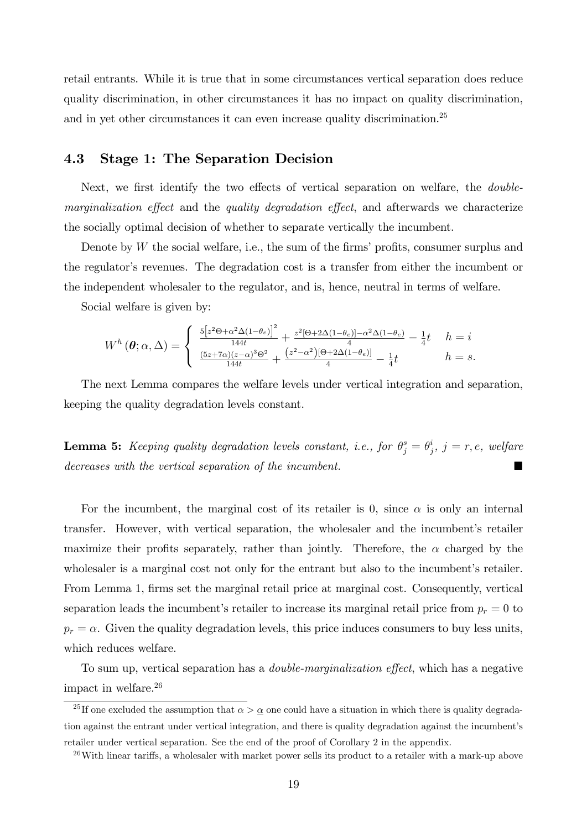retail entrants. While it is true that in some circumstances vertical separation does reduce quality discrimination, in other circumstances it has no impact on quality discrimination, and in yet other circumstances it can even increase quality discrimination.<sup>25</sup>

## 4.3 Stage 1: The Separation Decision

Next, we first identify the two effects of vertical separation on welfare, the *double* $marginalization effect$  and the quality degradation effect, and afterwards we characterize the socially optimal decision of whether to separate vertically the incumbent.

Denote by  $W$  the social welfare, i.e., the sum of the firms' profits, consumer surplus and the regulator's revenues. The degradation cost is a transfer from either the incumbent or the independent wholesaler to the regulator, and is, hence, neutral in terms of welfare.

Social welfare is given by:

$$
W^h(\boldsymbol{\theta};\alpha,\Delta) = \begin{cases} \frac{5\left[z^2\Theta + \alpha^2\Delta(1-\theta_e)\right]^2}{144t} + \frac{z^2\left[\Theta + 2\Delta(1-\theta_e)\right] - \alpha^2\Delta(1-\theta_e)}{4} - \frac{1}{4}t & h = i\\ \frac{(5z+7\alpha)(z-\alpha)^3\Theta^2}{144t} + \frac{(z^2-\alpha^2)\left[\Theta + 2\Delta(1-\theta_e)\right]}{4} - \frac{1}{4}t & h = s. \end{cases}
$$

The next Lemma compares the welfare levels under vertical integration and separation, keeping the quality degradation levels constant.

**Lemma 5:** Keeping quality degradation levels constant, i.e., for  $\theta_j^s = \theta_j^i$  $j^i,\ j=r,e,\ wel\!$ decreases with the vertical separation of the incumbent.

For the incumbent, the marginal cost of its retailer is 0, since  $\alpha$  is only an internal transfer. However, with vertical separation, the wholesaler and the incumbent's retailer maximize their profits separately, rather than jointly. Therefore, the  $\alpha$  charged by the wholes a marginal cost not only for the entrant but also to the incumbent's retailer. From Lemma 1, firms set the marginal retail price at marginal cost. Consequently, vertical separation leads the incumbent's retailer to increase its marginal retail price from  $p_r = 0$  to  $p_r = \alpha$ . Given the quality degradation levels, this price induces consumers to buy less units, which reduces welfare.

To sum up, vertical separation has a *double-marginalization effect*, which has a negative impact in welfare.<sup>26</sup>

<sup>&</sup>lt;sup>25</sup> If one excluded the assumption that  $\alpha > \alpha$  one could have a situation in which there is quality degradation against the entrant under vertical integration, and there is quality degradation against the incumbent's retailer under vertical separation. See the end of the proof of Corollary 2 in the appendix.

 $^{26}$ With linear tariffs, a wholesaler with market power sells its product to a retailer with a mark-up above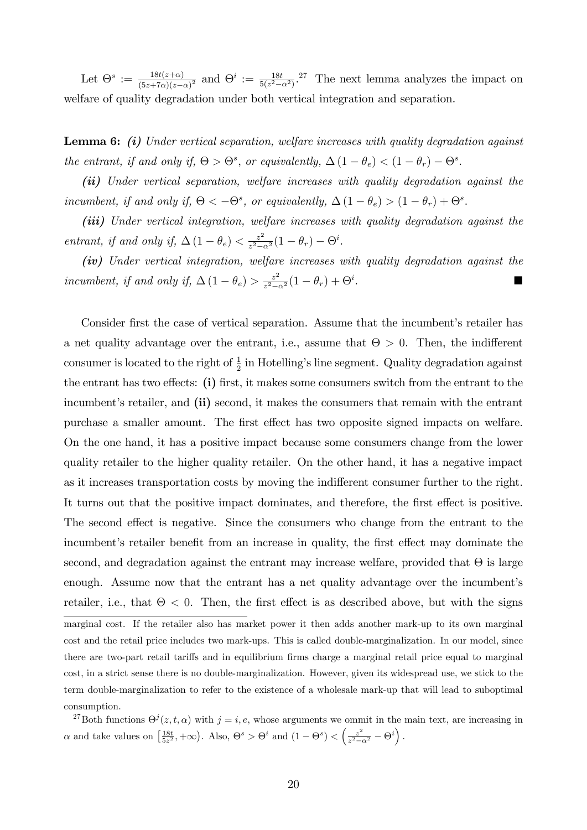Let  $\Theta^s := \frac{18t(z+\alpha)}{(5z+7\alpha)(z)}$  $\frac{18t(z+\alpha)}{(5z+7\alpha)(z-\alpha)^2}$  and  $\Theta^i := \frac{18t}{5(z^2-\alpha^2)}$ . The next lemma analyzes the impact on welfare of quality degradation under both vertical integration and separation.

Lemma 6: *(i)* Under vertical separation, welfare increases with quality degradation against the entrant, if and only if,  $\Theta > \Theta^s$ , or equivalently,  $\Delta (1 - \theta_e) < (1 - \theta_r) - \Theta^s$ .

(ii) Under vertical separation, welfare increases with quality degradation against the incumbent, if and only if,  $\Theta < -\Theta^s$ , or equivalently,  $\Delta (1 - \theta_e) > (1 - \theta_r) + \Theta^s$ .

(iii) Under vertical integration, welfare increases with quality degradation against the entrant, if and only if,  $\Delta (1 - \theta_e) < \frac{z^2}{z^2 - \theta_e}$  $\frac{z^2}{z^2-\alpha^2}(1-\theta_r)-\Theta^i.$ 

(iv) Under vertical integration, welfare increases with quality degradation against the incumbent, if and only if,  $\Delta (1 - \theta_e) > \frac{z^2}{z^2 - \theta_e}$  $\frac{z^2}{z^2-\alpha^2}(1-\theta_r)+\Theta^i$ .

Consider first the case of vertical separation. Assume that the incumbent's retailer has a net quality advantage over the entrant, i.e., assume that  $\Theta > 0$ . Then, the indifferent consumer is located to the right of  $\frac{1}{2}$  in Hotelling's line segment. Quality degradation against the entrant has two effects:  $(i)$  first, it makes some consumers switch from the entrant to the incumbent's retailer, and (ii) second, it makes the consumers that remain with the entrant purchase a smaller amount. The first effect has two opposite signed impacts on welfare. On the one hand, it has a positive impact because some consumers change from the lower quality retailer to the higher quality retailer. On the other hand, it has a negative impact as it increases transportation costs by moving the indifferent consumer further to the right. It turns out that the positive impact dominates, and therefore, the first effect is positive. The second effect is negative. Since the consumers who change from the entrant to the incumbent's retailer benefit from an increase in quality, the first effect may dominate the second, and degradation against the entrant may increase welfare, provided that  $\Theta$  is large enough. Assume now that the entrant has a net quality advantage over the incumbent's retailer, i.e., that  $\Theta < 0$ . Then, the first effect is as described above, but with the signs marginal cost. If the retailer also has market power it then adds another mark-up to its own marginal cost and the retail price includes two mark-ups. This is called double-marginalization. In our model, since there are two-part retail tariffs and in equilibrium firms charge a marginal retail price equal to marginal cost, in a strict sense there is no double-marginalization. However, given its widespread use, we stick to the term double-marginalization to refer to the existence of a wholesale mark-up that will lead to suboptimal consumption.

<sup>27</sup>Both functions  $\Theta^{j}(z, t, \alpha)$  with  $j = i, e$ , whose arguments we ommit in the main text, are increasing in  $\alpha$  and take values on  $\left[\frac{18t}{5z^2}, +\infty\right)$ . Also,  $\Theta^s > \Theta^i$  and  $(1 - \Theta^s) < \left(\frac{z^2}{z^2 - 1}\right)$  $\frac{z^2}{z^2-\alpha^2} - \Theta^i\bigg)$ .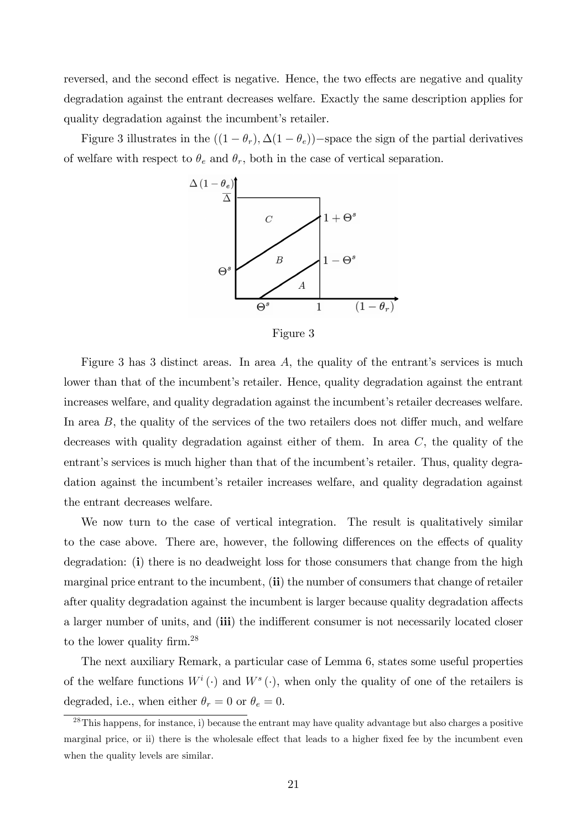reversed, and the second effect is negative. Hence, the two effects are negative and quality degradation against the entrant decreases welfare. Exactly the same description applies for quality degradation against the incumbent's retailer.

Figure 3 illustrates in the  $((1 - \theta_r), \Delta(1 - \theta_e))$ -space the sign of the partial derivatives of welfare with respect to  $\theta_e$  and  $\theta_r$ , both in the case of vertical separation.



Figure 3

Figure 3 has 3 distinct areas. In area  $A$ , the quality of the entrant's services is much lower than that of the incumbent's retailer. Hence, quality degradation against the entrant increases welfare, and quality degradation against the incumbent's retailer decreases welfare. In area  $B$ , the quality of the services of the two retailers does not differ much, and welfare decreases with quality degradation against either of them. In area C, the quality of the entrant's services is much higher than that of the incumbent's retailer. Thus, quality degradation against the incumbent's retailer increases welfare, and quality degradation against the entrant decreases welfare.

We now turn to the case of vertical integration. The result is qualitatively similar to the case above. There are, however, the following differences on the effects of quality degradation: (i) there is no deadweight loss for those consumers that change from the high marginal price entrant to the incumbent,  $(ii)$  the number of consumers that change of retailer after quality degradation against the incumbent is larger because quality degradation affects a larger number of units, and (iii) the indifferent consumer is not necessarily located closer to the lower quality firm.<sup>28</sup>

The next auxiliary Remark, a particular case of Lemma 6, states some useful properties of the welfare functions  $W^i(\cdot)$  and  $W^s(\cdot)$ , when only the quality of one of the retailers is degraded, i.e., when either  $\theta_r = 0$  or  $\theta_e = 0.$ 

<sup>&</sup>lt;sup>28</sup>This happens, for instance, i) because the entrant may have quality advantage but also charges a positive marginal price, or ii) there is the wholesale effect that leads to a higher fixed fee by the incumbent even when the quality levels are similar.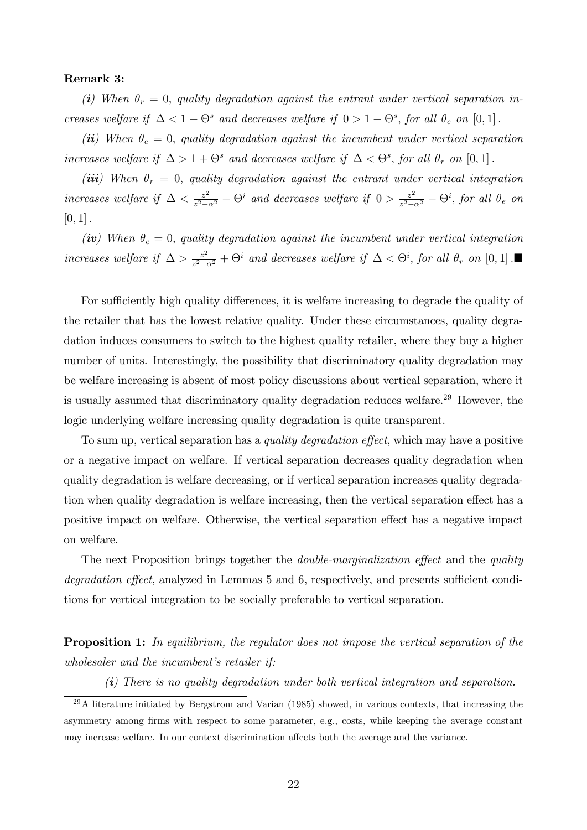#### Remark 3:

(i) When  $\theta_r = 0$ , quality degradation against the entrant under vertical separation increases welfare if  $\Delta < 1 - \Theta^s$  and decreases welfare if  $0 > 1 - \Theta^s$ , for all  $\theta_e$  on  $[0, 1]$ .

(ii) When  $\theta_e = 0$ , quality degradation against the incumbent under vertical separation increases welfare if  $\Delta > 1 + \Theta^s$  and decreases welfare if  $\Delta < \Theta^s$ , for all  $\theta_r$  on  $[0,1]$ .

(iii) When  $\theta_r = 0$ , quality degradation against the entrant under vertical integration increases welfare if  $\Delta < \frac{z^2}{z^2-1}$  $\frac{z^2}{z^2-\alpha^2} - \Theta^i$  and decreases welfare if  $0 > \frac{z^2}{z^2-\alpha^2}$  $\frac{z^2}{z^2-\alpha^2} - \Theta^i$ , for all  $\theta_e$  on  $[0, 1]$ .

(iv) When  $\theta_e = 0$ , quality degradation against the incumbent under vertical integration increases welfare if  $\Delta > \frac{z^2}{z^2 - z^2}$  $\frac{z^2}{z^2-\alpha^2} + \Theta^i$  and decreases welfare if  $\Delta < \Theta^i$ , for all  $\theta_r$  on  $[0,1]$ .

For sufficiently high quality differences, it is welfare increasing to degrade the quality of the retailer that has the lowest relative quality. Under these circumstances, quality degradation induces consumers to switch to the highest quality retailer, where they buy a higher number of units. Interestingly, the possibility that discriminatory quality degradation may be welfare increasing is absent of most policy discussions about vertical separation, where it is usually assumed that discriminatory quality degradation reduces welfare.<sup>29</sup> However, the logic underlying welfare increasing quality degradation is quite transparent.

To sum up, vertical separation has a *quality degradation effect*, which may have a positive or a negative impact on welfare. If vertical separation decreases quality degradation when quality degradation is welfare decreasing, or if vertical separation increases quality degradation when quality degradation is welfare increasing, then the vertical separation effect has a positive impact on welfare. Otherwise, the vertical separation effect has a negative impact on welfare.

The next Proposition brings together the *double-marginalization effect* and the *quality* degradation effect, analyzed in Lemmas 5 and 6, respectively, and presents sufficient conditions for vertical integration to be socially preferable to vertical separation.

**Proposition 1:** In equilibrium, the regulator does not impose the vertical separation of the  $wholesaler$  and the incumbent's retailer if:

(i) There is no quality degradation under both vertical integration and separation.

 $^{29}$ A literature initiated by Bergstrom and Varian (1985) showed, in various contexts, that increasing the asymmetry among firms with respect to some parameter, e.g., costs, while keeping the average constant may increase welfare. In our context discrimination affects both the average and the variance.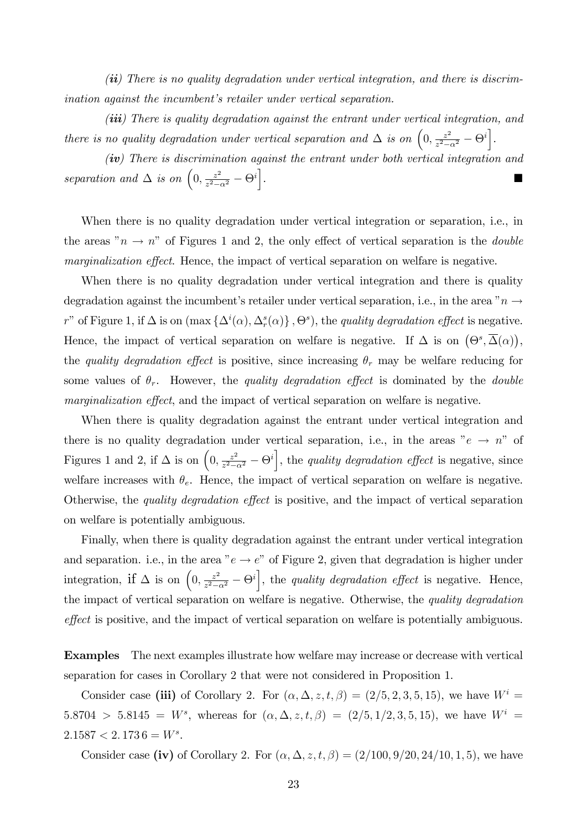$(ii)$  There is no quality degradation under vertical integration, and there is discrimination against the incumbent's retailer under vertical separation.

 $(iii)$  There is quality degradation against the entrant under vertical integration, and there is no quality degradation under vertical separation and  $\Delta$  is on  $\left(0, \frac{z^2}{z^2}\right)$  $\frac{z^2}{z^2-\alpha^2} - \Theta^i\bigg].$ 

 $(iv)$  There is discrimination against the entrant under both vertical integration and separation and  $\Delta$  is on  $\left(0, \frac{z^2}{z^2}\right)$  $\frac{z^2}{z^2-\alpha^2} - \Theta^i\bigg]$ .

When there is no quality degradation under vertical integration or separation, i.e., in the areas " $n \rightarrow n$ " of Figures 1 and 2, the only effect of vertical separation is the *double* marginalization effect. Hence, the impact of vertical separation on welfare is negative.

When there is no quality degradation under vertical integration and there is quality degradation against the incumbent's retailer under vertical separation, i.e., in the area  $n \rightarrow$ r" of Figure 1, if  $\Delta$  is on  $(\max{\{\Delta^i(\alpha), \Delta^s_r(\alpha)\}}, \Theta^s)$ , the *quality degradation effect* is negative. Hence, the impact of vertical separation on welfare is negative. If  $\Delta$  is on  $(\Theta^s, \overline{\Delta}(\alpha))$ , the quality degradation effect is positive, since increasing  $\theta_r$  may be welfare reducing for some values of  $\theta_r$ . However, the quality degradation effect is dominated by the double marginalization effect, and the impact of vertical separation on welfare is negative.

When there is quality degradation against the entrant under vertical integration and there is no quality degradation under vertical separation, i.e., in the areas " $e \rightarrow n$ " of Figures 1 and 2, if  $\Delta$  is on  $(0, \frac{z^2}{z^2-1})$  $\frac{z^2}{z^2-\alpha^2} - \Theta^i$ , the *quality degradation effect* is negative, since welfare increases with  $\theta_e$ . Hence, the impact of vertical separation on welfare is negative. Otherwise, the *quality degradation effect* is positive, and the impact of vertical separation on welfare is potentially ambiguous.

Finally, when there is quality degradation against the entrant under vertical integration and separation. i.e., in the area " $e \rightarrow e$ " of Figure 2, given that degradation is higher under integration, if  $\Delta$  is on  $\left(0, \frac{z^2}{z^2-1}\right)$  $\frac{z^2}{z^2-\alpha^2} - \Theta^i$ , the *quality degradation effect* is negative. Hence, the impact of vertical separation on welfare is negative. Otherwise, the *quality degradation* effect is positive, and the impact of vertical separation on welfare is potentially ambiguous.

Examples The next examples illustrate how welfare may increase or decrease with vertical separation for cases in Corollary 2 that were not considered in Proposition 1.

Consider case (iii) of Corollary 2. For  $(\alpha, \Delta, z, t, \beta) = (2/5, 2, 3, 5, 15)$ , we have  $W^i =$  $5.8704 > 5.8145 = W^s$ , whereas for  $(\alpha, \Delta, z, t, \beta) = (2/5, 1/2, 3, 5, 15)$ , we have  $W^i =$  $2.1587 < 2.1736 = W^s.$ 

Consider case (iv) of Corollary 2. For  $(\alpha, \Delta, z, t, \beta) = (2/100, 9/20, 24/10, 1, 5)$ , we have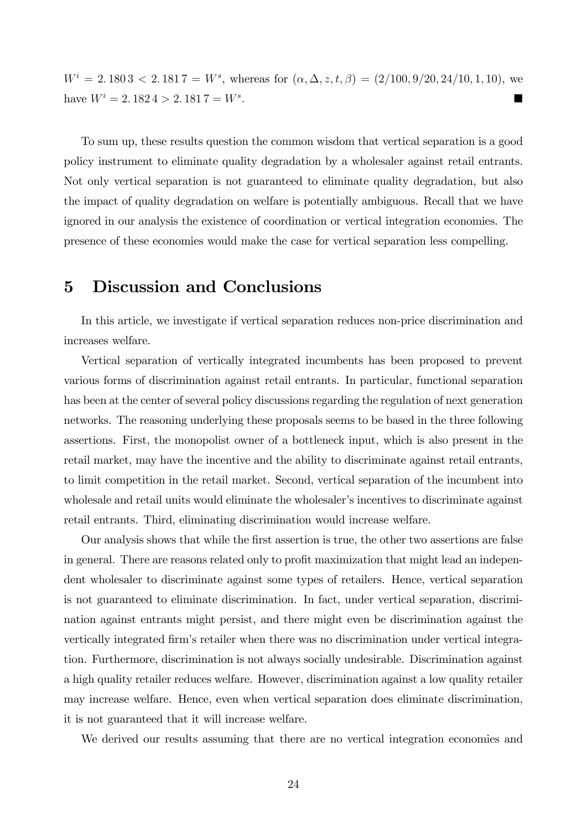$W^i = 2.1803 < 2.1817 = W^s$ , whereas for  $(\alpha, \Delta, z, t, \beta) = (2/100, 9/20, 24/10, 1, 10)$ , we have  $W^{i} = 2.1824 > 2.1817 = W^{s}$ . .

To sum up, these results question the common wisdom that vertical separation is a good policy instrument to eliminate quality degradation by a wholesaler against retail entrants. Not only vertical separation is not guaranteed to eliminate quality degradation, but also the impact of quality degradation on welfare is potentially ambiguous. Recall that we have ignored in our analysis the existence of coordination or vertical integration economies. The presence of these economies would make the case for vertical separation less compelling.

# 5 Discussion and Conclusions

In this article, we investigate if vertical separation reduces non-price discrimination and increases welfare.

Vertical separation of vertically integrated incumbents has been proposed to prevent various forms of discrimination against retail entrants. In particular, functional separation has been at the center of several policy discussions regarding the regulation of next generation networks. The reasoning underlying these proposals seems to be based in the three following assertions. First, the monopolist owner of a bottleneck input, which is also present in the retail market, may have the incentive and the ability to discriminate against retail entrants, to limit competition in the retail market. Second, vertical separation of the incumbent into wholesale and retail units would eliminate the wholesaler's incentives to discriminate against retail entrants. Third, eliminating discrimination would increase welfare.

Our analysis shows that while the first assertion is true, the other two assertions are false in general. There are reasons related only to profit maximization that might lead an independent wholesaler to discriminate against some types of retailers. Hence, vertical separation is not guaranteed to eliminate discrimination. In fact, under vertical separation, discrimination against entrants might persist, and there might even be discrimination against the vertically integrated Örmís retailer when there was no discrimination under vertical integration. Furthermore, discrimination is not always socially undesirable. Discrimination against a high quality retailer reduces welfare. However, discrimination against a low quality retailer may increase welfare. Hence, even when vertical separation does eliminate discrimination, it is not guaranteed that it will increase welfare.

We derived our results assuming that there are no vertical integration economies and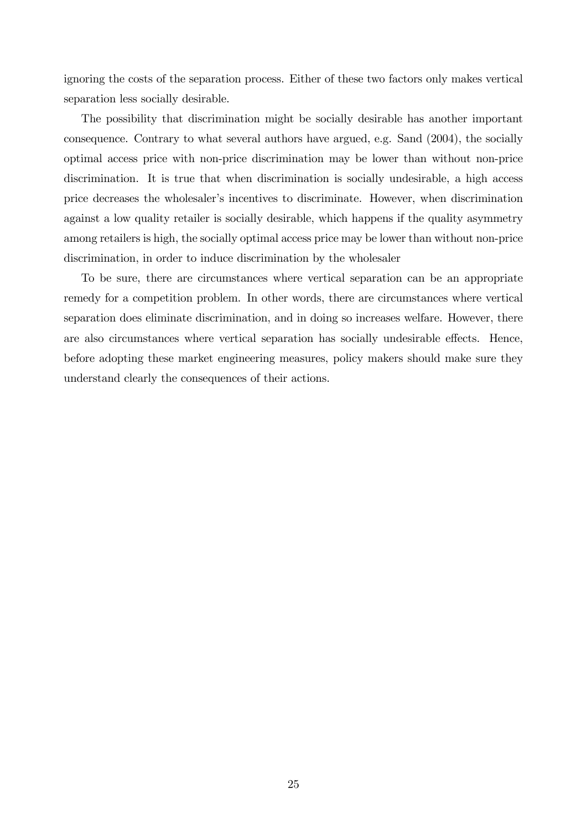ignoring the costs of the separation process. Either of these two factors only makes vertical separation less socially desirable.

The possibility that discrimination might be socially desirable has another important consequence. Contrary to what several authors have argued, e.g. Sand (2004), the socially optimal access price with non-price discrimination may be lower than without non-price discrimination. It is true that when discrimination is socially undesirable, a high access price decreases the wholesaler's incentives to discriminate. However, when discrimination against a low quality retailer is socially desirable, which happens if the quality asymmetry among retailers is high, the socially optimal access price may be lower than without non-price discrimination, in order to induce discrimination by the wholesaler

To be sure, there are circumstances where vertical separation can be an appropriate remedy for a competition problem. In other words, there are circumstances where vertical separation does eliminate discrimination, and in doing so increases welfare. However, there are also circumstances where vertical separation has socially undesirable effects. Hence, before adopting these market engineering measures, policy makers should make sure they understand clearly the consequences of their actions.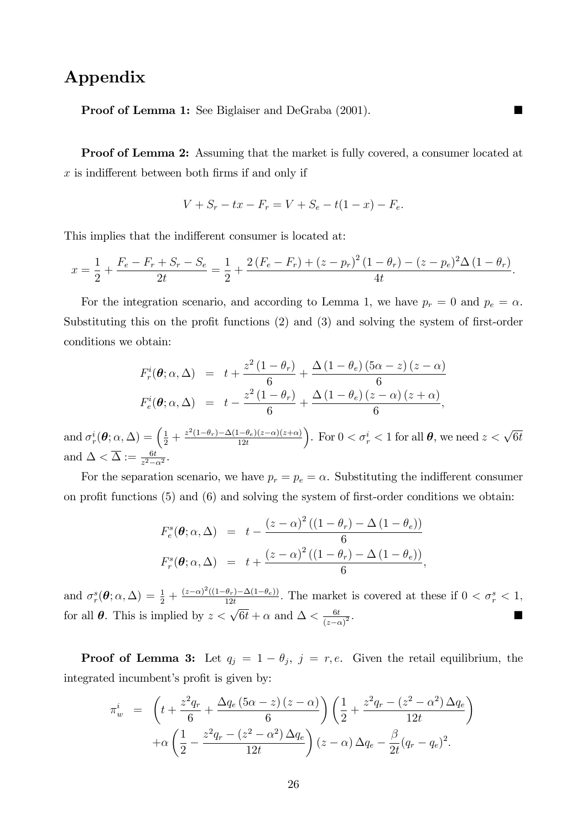# Appendix

**Proof of Lemma 1:** See Biglaiser and DeGraba (2001).

Proof of Lemma 2: Assuming that the market is fully covered, a consumer located at  $x$  is indifferent between both firms if and only if

$$
V + S_r - tx - F_r = V + S_e - t(1 - x) - F_e.
$$

This implies that the indifferent consumer is located at:

$$
x = \frac{1}{2} + \frac{F_e - F_r + S_r - S_e}{2t} = \frac{1}{2} + \frac{2(F_e - F_r) + (z - p_r)^2 (1 - \theta_r) - (z - p_e)^2 \Delta (1 - \theta_r)}{4t}.
$$

For the integration scenario, and according to Lemma 1, we have  $p_r = 0$  and  $p_e = \alpha$ . Substituting this on the profit functions  $(2)$  and  $(3)$  and solving the system of first-order conditions we obtain:

$$
F_r^i(\boldsymbol{\theta}; \alpha, \Delta) = t + \frac{z^2 (1 - \theta_r)}{6} + \frac{\Delta (1 - \theta_e) (5\alpha - z) (z - \alpha)}{6}
$$
  

$$
F_e^i(\boldsymbol{\theta}; \alpha, \Delta) = t - \frac{z^2 (1 - \theta_r)}{6} + \frac{\Delta (1 - \theta_e) (z - \alpha) (z + \alpha)}{6},
$$

and  $\sigma_r^i(\theta; \alpha, \Delta) = \left(\frac{1}{2} + \frac{z^2(1-\theta_r)-\Delta(1-\theta_e)(z-\alpha)(z+\alpha)}{12t}\right)$ ). For  $0 < \sigma_r^i < 1$  for all  $\theta$ , we need  $z < \sqrt{6t}$ and  $\Delta < \overline{\Delta} := \frac{6t}{z^2 - \alpha^2}$ .

For the separation scenario, we have  $p_r = p_e = \alpha$ . Substituting the indifferent consumer on profit functions  $(5)$  and  $(6)$  and solving the system of first-order conditions we obtain:

$$
F_e^s(\theta; \alpha, \Delta) = t - \frac{(z - \alpha)^2 ((1 - \theta_r) - \Delta (1 - \theta_e))}{6}
$$
  

$$
F_r^s(\theta; \alpha, \Delta) = t + \frac{(z - \alpha)^2 ((1 - \theta_r) - \Delta (1 - \theta_e))}{6},
$$

and  $\sigma_r^s(\theta; \alpha, \Delta) = \frac{1}{2} + \frac{(z-\alpha)^2((1-\theta_r)-\Delta(1-\theta_e))}{12t}$ . The market is covered at these if  $0 < \sigma_r^s < 1$ , for all  $\theta$ . This is implied by  $z < \sqrt{6t} + \alpha$  and  $\Delta < \frac{6t}{\sqrt{6t}}$  $(z-\alpha)$  $\overline{2}$  :

**Proof of Lemma 3:** Let  $q_j = 1 - \theta_j$ ,  $j = r, e$ . Given the retail equilibrium, the integrated incumbent's profit is given by:

$$
\pi_w^i = \left( t + \frac{z^2 q_r}{6} + \frac{\Delta q_e (5\alpha - z) (z - \alpha)}{6} \right) \left( \frac{1}{2} + \frac{z^2 q_r - (z^2 - \alpha^2) \Delta q_e}{12t} \right) \n+ \alpha \left( \frac{1}{2} - \frac{z^2 q_r - (z^2 - \alpha^2) \Delta q_e}{12t} \right) (z - \alpha) \Delta q_e - \frac{\beta}{2t} (q_r - q_e)^2.
$$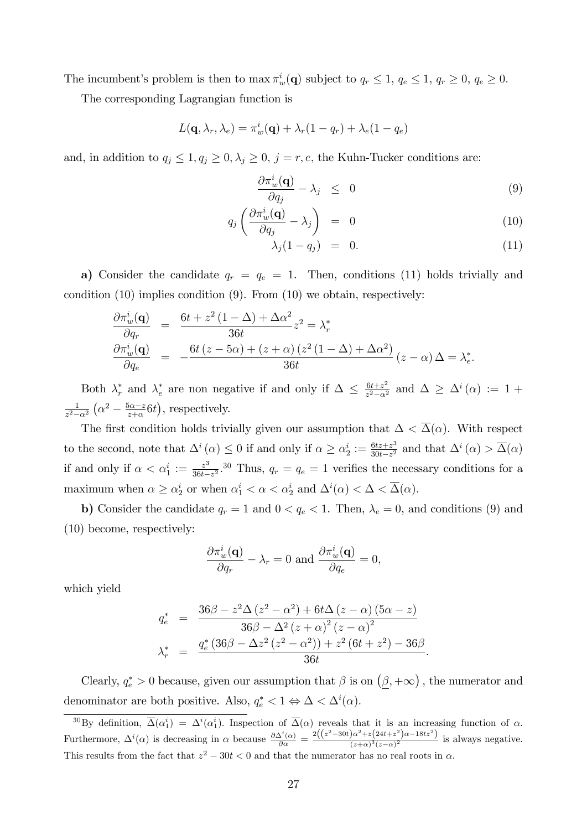The incumbent's problem is then to  $\max \pi_w^i(\mathbf{q})$  subject to  $q_r \leq 1$ ,  $q_e \leq 1$ ,  $q_r \geq 0$ ,  $q_e \geq 0$ .

The corresponding Lagrangian function is

$$
L(\mathbf{q}, \lambda_r, \lambda_e) = \pi_w^i(\mathbf{q}) + \lambda_r(1 - q_r) + \lambda_e(1 - q_e)
$$

and, in addition to  $q_j \leq 1, q_j \geq 0, \lambda_j \geq 0, j = r, e$ , the Kuhn-Tucker conditions are:

$$
\frac{\partial \pi_w^i(\mathbf{q})}{\partial q_j} - \lambda_j \leq 0 \tag{9}
$$

$$
q_j \left( \frac{\partial \pi_w^i(\mathbf{q})}{\partial q_j} - \lambda_j \right) = 0 \tag{10}
$$

$$
\lambda_j(1-q_j) = 0. \tag{11}
$$

a) Consider the candidate  $q_r = q_e = 1$ . Then, conditions (11) holds trivially and condition  $(10)$  implies condition  $(9)$ . From  $(10)$  we obtain, respectively:

$$
\frac{\partial \pi_w^i(\mathbf{q})}{\partial q_r} = \frac{6t + z^2 (1 - \Delta) + \Delta \alpha^2}{36t} z^2 = \lambda_r^*
$$
\n
$$
\frac{\partial \pi_w^i(\mathbf{q})}{\partial q_e} = -\frac{6t (z - 5\alpha) + (z + \alpha) (z^2 (1 - \Delta) + \Delta \alpha^2)}{36t} (z - \alpha) \Delta = \lambda_e^*.
$$

Both  $\lambda_r^*$  and  $\lambda_e^*$  are non negative if and only if  $\Delta \leq \frac{6t+z^2}{z^2-\alpha^2}$  $\frac{6t+z^2}{z^2-\alpha^2}$  and  $\Delta \geq \Delta^i(\alpha) := 1 +$ 1  $\sqrt{z^2-\alpha^2}$  $\left(\alpha^2 - \frac{5\alpha - z}{z+\alpha}6t\right)$ , respectively.

The first condition holds trivially given our assumption that  $\Delta < \overline{\Delta}(\alpha)$ . With respect to the second, note that  $\Delta^i(\alpha) \leq 0$  if and only if  $\alpha \geq \alpha_2^i := \frac{6tz + z^3}{30t - z^2}$  $\frac{6tz+z^3}{30t-z^2}$  and that  $\Delta^i(\alpha) > \overline{\Delta}(\alpha)$ if and only if  $\alpha < \alpha_1^i := \frac{z^3}{36t-1}$  $\frac{z^3}{36t-z^2}$ .<sup>30</sup> Thus,  $q_r = q_e = 1$  verifies the necessary conditions for a maximum when  $\alpha \geq \alpha_2^i$  or when  $\alpha_1^i < \alpha < \alpha_2^i$  and  $\Delta^i(\alpha) < \Delta < \overline{\Delta}(\alpha)$ .

b) Consider the candidate  $q_r = 1$  and  $0 < q_e < 1$ . Then,  $\lambda_e = 0$ , and conditions (9) and (10) become, respectively:

$$
\frac{\partial \pi_w^i(\mathbf{q})}{\partial q_r}-\lambda_r=0 \,\, \text{and} \,\, \frac{\partial \pi_w^i(\mathbf{q})}{\partial q_e}=0,
$$

which yield

$$
q_e^* = \frac{36\beta - z^2\Delta (z^2 - \alpha^2) + 6t\Delta (z - \alpha) (5\alpha - z)}{36\beta - \Delta^2 (z + \alpha)^2 (z - \alpha)^2} \n\lambda_r^* = \frac{q_e^* (36\beta - \Delta z^2 (z^2 - \alpha^2)) + z^2 (6t + z^2) - 36\beta}{36t}.
$$

Clearly,  $q_e^* > 0$  because, given our assumption that  $\beta$  is on  $(\underline{\beta}, +\infty)$ , the numerator and denominator are both positive. Also,  $q_e^* < 1 \Leftrightarrow \Delta < \Delta^i(\alpha)$ .

<sup>&</sup>lt;sup>30</sup>By definition,  $\overline{\Delta}(\alpha_1^i) = \Delta^i(\alpha_1^i)$ . Inspection of  $\overline{\Delta}(\alpha)$  reveals that it is an increasing function of  $\alpha$ . Furthermore,  $\Delta^{i}(\alpha)$  is decreasing in  $\alpha$  because  $\frac{\partial \Delta^{i}(\alpha)}{\partial \alpha} = \frac{2((z^2-30t)\alpha^2 + z(24t+z^2)\alpha - 18tz^2)}{(z+\alpha)^3(z-\alpha)^2}$  $\frac{\int a^{1/2} (2+a)^2 (2-a)^2}{(z+a)^3 (z-a)^2}$  is always negative. This results from the fact that  $z^2 - 30t < 0$  and that the numerator has no real roots in  $\alpha$ .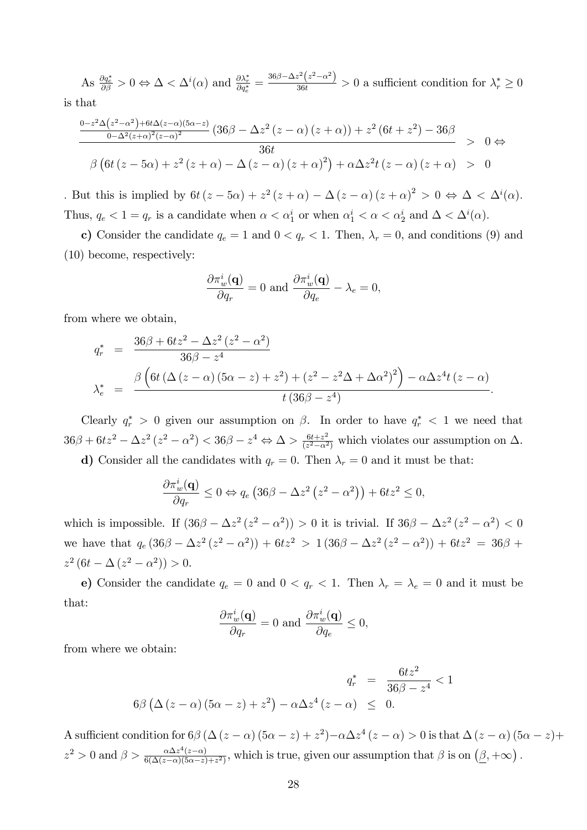As  $\frac{\partial q_e^*}{\partial \beta} > 0 \Leftrightarrow \Delta < \Delta^i(\alpha)$  and  $\frac{\partial \lambda_r^*}{\partial q_e^*} = \frac{36\beta - \Delta z^2 (z^2 - \alpha^2)}{36t} > 0$  a sufficient condition for  $\lambda_r^* \ge 0$ is that

$$
\frac{0-z^2\Delta(z^2-\alpha^2)+6t\Delta(z-\alpha)(5\alpha-z)}{0-\Delta^2(z+\alpha)^2(z-\alpha)^2}\left(36\beta-\Delta z^2(z-\alpha)(z+\alpha)\right)+z^2\left(6t+z^2\right)-36\beta \to 0 \Leftrightarrow
$$
  

$$
\beta\left(6t\left(z-5\alpha\right)+z^2\left(z+\alpha\right)-\Delta\left(z-\alpha\right)(z+\alpha)^2\right)+\alpha\Delta z^2t\left(z-\alpha\right)(z+\alpha) > 0
$$

. But this is implied by  $6t(z-5\alpha) + z^2(z+\alpha) - \Delta(z-\alpha)(z+\alpha)^2 > 0 \Leftrightarrow \Delta < \Delta^i(\alpha)$ . Thus,  $q_e < 1 = q_r$  is a candidate when  $\alpha < \alpha_1^i$  or when  $\alpha_1^i < \alpha < \alpha_2^i$  and  $\Delta < \Delta^i(\alpha)$ .

c) Consider the candidate  $q_e = 1$  and  $0 < q_r < 1$ . Then,  $\lambda_r = 0$ , and conditions (9) and (10) become, respectively:

$$
\frac{\partial \pi_w^i(\mathbf{q})}{\partial q_r} = 0 \text{ and } \frac{\partial \pi_w^i(\mathbf{q})}{\partial q_e} - \lambda_e = 0,
$$

from where we obtain,

$$
q_r^* = \frac{36\beta + 6tz^2 - \Delta z^2 (z^2 - \alpha^2)}{36\beta - z^4}
$$
  

$$
\lambda_e^* = \frac{\beta \left(6t (\Delta (z - \alpha) (5\alpha - z) + z^2) + (z^2 - z^2 \Delta + \Delta \alpha^2)^2\right) - \alpha \Delta z^4 t (z - \alpha)}{t (36\beta - z^4)}.
$$

Clearly  $q_r^* > 0$  given our assumption on  $\beta$ . In order to have  $q_r^* < 1$  we need that  $36\beta + 6tz^2 - \Delta z^2 (z^2 - \alpha^2) < 36\beta - z^4 \Leftrightarrow \Delta > \frac{6t + z^2}{(z^2 - \alpha^2)}$  $\frac{6t+z^2}{(z^2-\alpha^2)}$  which violates our assumption on  $\Delta$ . d) Consider all the candidates with  $q_r = 0$ . Then  $\lambda_r = 0$  and it must be that:

$$
\frac{\partial \pi_w^i(\mathbf{q})}{\partial q_r} \le 0 \Leftrightarrow q_e \left( 36\beta - \Delta z^2 \left( z^2 - \alpha^2 \right) \right) + 6tz^2 \le 0,
$$

which is impossible. If  $(36\beta - \Delta z^2 (z^2 - \alpha^2)) > 0$  it is trivial. If  $36\beta - \Delta z^2 (z^2 - \alpha^2) < 0$ we have that  $q_e (36\beta - \Delta z^2 (z^2 - \alpha^2)) + 6tz^2 > 1(36\beta - \Delta z^2 (z^2 - \alpha^2)) + 6tz^2 = 36\beta +$  $z^2(6t - \Delta (z^2 - \alpha^2)) > 0.$ 

e) Consider the candidate  $q_e = 0$  and  $0 < q_r < 1$ . Then  $\lambda_r = \lambda_e = 0$  and it must be that:

$$
\frac{\partial \pi_w^i(\mathbf{q})}{\partial q_r} = 0 \text{ and } \frac{\partial \pi_w^i(\mathbf{q})}{\partial q_e} \le 0,
$$

from where we obtain:

$$
q_r^* = \frac{6tz^2}{36\beta - z^4} < 1
$$
  
6 $\beta$  ( $\Delta (z - \alpha) (5\alpha - z) + z^2$ )  $-\alpha \Delta z^4 (z - \alpha) \leq 0$ .

A sufficient condition for  $6\beta (\Delta (z - \alpha) (5\alpha - z) + z^2) - \alpha \Delta z^4 (z - \alpha) > 0$  is that  $\Delta (z - \alpha) (5\alpha - z) + z^2$  $z^2 > 0$  and  $\beta > \frac{\alpha \Delta z^4(z-\alpha)}{6(\Delta(z-\alpha)(5\alpha-z))}$  $\frac{\alpha \Delta z^4(z-\alpha)}{6(\Delta(z-\alpha)(5\alpha-z)+z^2)}$ , which is true, given our assumption that  $\beta$  is on  $(\beta, +\infty)$ .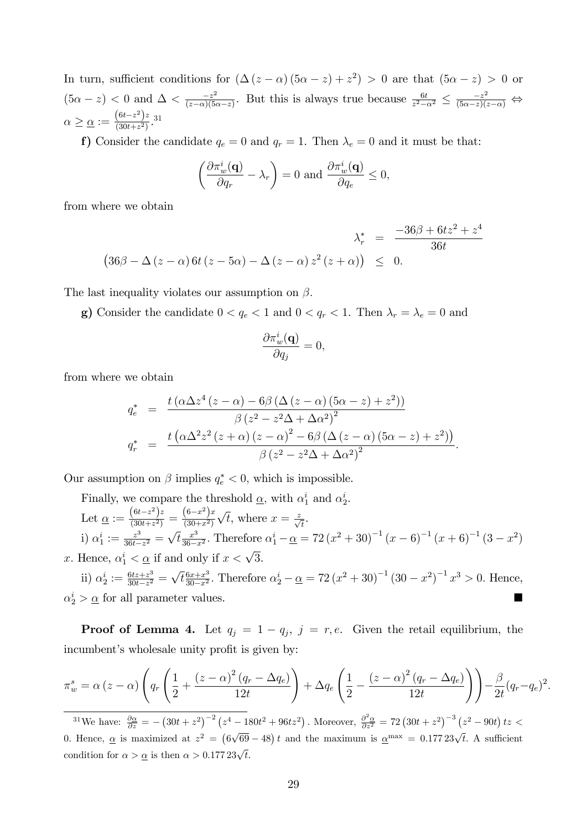In turn, sufficient conditions for  $(\Delta (z - \alpha) (5\alpha - z) + z^2) > 0$  are that  $(5\alpha - z) > 0$  or  $(5\alpha - z) < 0$  and  $\Delta < \frac{-z^2}{(z-\alpha)(5\alpha)}$  $\frac{-z^2}{(z-\alpha)(5\alpha-z)}$ . But this is always true because  $\frac{6t}{z^2-\alpha^2} \leq \frac{-z^2}{(5\alpha-z)(z-\alpha)} \Leftrightarrow$  $\alpha \geq \underline{\alpha} := \frac{(6t-z^2)z}{(30t+z^2)}$  $\frac{(6t-z)^2}{(30t+z^2)}$ . 31

f) Consider the candidate  $q_e = 0$  and  $q_r = 1$ . Then  $\lambda_e = 0$  and it must be that:

$$
\left(\frac{\partial \pi_w^i(\mathbf{q})}{\partial q_r} - \lambda_r\right) = 0 \text{ and } \frac{\partial \pi_w^i(\mathbf{q})}{\partial q_e} \le 0,
$$

from where we obtain

$$
\lambda_r^* = \frac{-36\beta + 6tz^2 + z^4}{36t}
$$
  

$$
(36\beta - \Delta (z - \alpha) 6t (z - 5\alpha) - \Delta (z - \alpha) z^2 (z + \alpha)) \leq 0.
$$

The last inequality violates our assumption on  $\beta$ .

g) Consider the candidate  $0 < q_e < 1$  and  $0 < q_r < 1$ . Then  $\lambda_r = \lambda_e = 0$  and

$$
\frac{\partial \pi_w^i(\mathbf{q})}{\partial q_j} = 0,
$$

from where we obtain

$$
q_e^* = \frac{t(\alpha \Delta z^4 (z - \alpha) - 6\beta (\Delta (z - \alpha) (5\alpha - z) + z^2))}{\beta (z^2 - z^2 \Delta + \Delta \alpha^2)^2}
$$

$$
q_r^* = \frac{t(\alpha \Delta^2 z^2 (z + \alpha) (z - \alpha)^2 - 6\beta (\Delta (z - \alpha) (5\alpha - z) + z^2))}{\beta (z^2 - z^2 \Delta + \Delta \alpha^2)^2}.
$$

Our assumption on  $\beta$  implies  $q_e^* < 0$ , which is impossible.

Finally, we compare the threshold  $\underline{\alpha}$ , with  $\alpha_1^i$  and  $\alpha_2^i$ . Let  $\underline{\alpha} := \frac{(6t-z^2)z}{(30t+z^2)}$  $\frac{(6t-z^2)z}{(30t+z^2)} = \frac{(6-x^2)x}{(30+x^2)}$  $(30+x^2)$  $\sqrt{t}$ , where  $x = \frac{z}{\sqrt{t}}$ . i)  $\alpha_1^i:=\frac{z^3}{36t-}$  $\frac{z^3}{36t-z^2} = \sqrt{t} \frac{x^3}{36-z^3}$  $\frac{x^3}{36-x^2}$ . Therefore  $\alpha_1^i - \alpha = 72(x^2 + 30)^{-1}(x - 6)^{-1}(x + 6)^{-1}(3 - x^2)$ x. Hence,  $\alpha_1^i < \underline{\alpha}$  if and only if  $x < \sqrt{3}$ .

ii) 
$$
\alpha_2^i := \frac{6tz + z^3}{30t - z^2} = \sqrt{t} \frac{6x + x^3}{30 - x^2}
$$
. Therefore  $\alpha_2^i - \underline{\alpha} = 72 (x^2 + 30)^{-1} (30 - x^2)^{-1} x^3 > 0$ . Hence,  $\alpha_2^i > \underline{\alpha}$  for all parameter values.

**Proof of Lemma 4.** Let  $q_j = 1 - q_j$ ,  $j = r, e$ . Given the retail equilibrium, the incumbent's wholesale unity profit is given by:

$$
\pi_w^s = \alpha (z - \alpha) \left( q_r \left( \frac{1}{2} + \frac{(z - \alpha)^2 (q_r - \Delta q_e)}{12t} \right) + \Delta q_e \left( \frac{1}{2} - \frac{(z - \alpha)^2 (q_r - \Delta q_e)}{12t} \right) \right) - \frac{\beta}{2t} (q_r - q_e)^2.
$$

<sup>31</sup>We have:  $\frac{\partial \alpha}{\partial z} = -\left(30t + z^2\right)^{-2} \left(z^4 - 180t^2 + 96tz^2\right)$ . Moreover,  $\frac{\partial^2 \alpha}{\partial z^2} = 72\left(30t + z^2\right)^{-3} \left(z^2 - 90t\right)tz$ 0. Hence,  $\underline{\alpha}$  is maximized at  $z^2 = (6\sqrt{69} - 48) t$  and the maximum is  $\underline{\alpha}^{\text{max}} = 0.17723\sqrt{t}$ . A sufficient condition for  $\alpha > \underline{\alpha}$  is then  $\alpha > 0.177 23\sqrt{t}$ .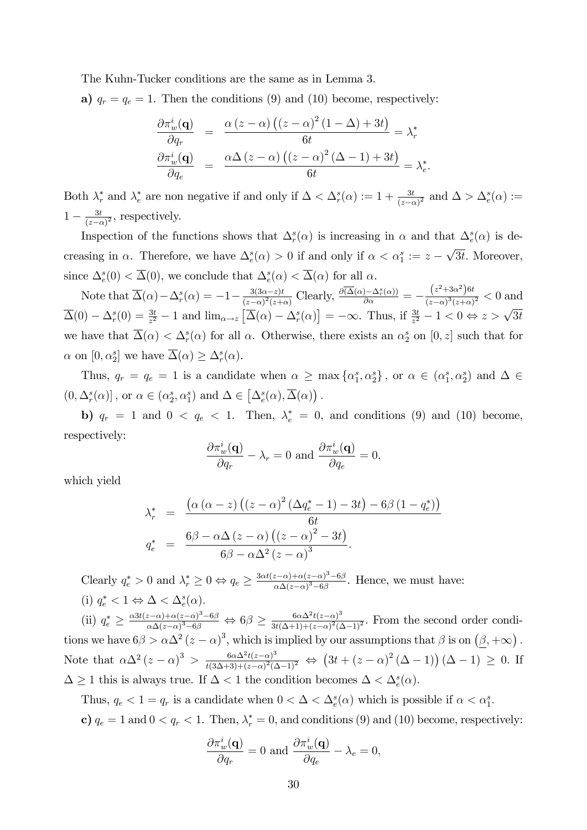The Kuhn-Tucker conditions are the same as in Lemma 3.

a)  $q_r = q_e = 1$ . Then the conditions (9) and (10) become, respectively:

$$
\frac{\partial \pi_w^i(\mathbf{q})}{\partial q_r} = \frac{\alpha (z - \alpha) ((z - \alpha)^2 (1 - \Delta) + 3t)}{6t} = \lambda_r^*
$$

$$
\frac{\partial \pi_w^i(\mathbf{q})}{\partial q_e} = \frac{\alpha \Delta (z - \alpha) ((z - \alpha)^2 (\Delta - 1) + 3t)}{6t} = \lambda_e^*.
$$

Both  $\lambda_r^*$  and  $\lambda_e^*$  are non negative if and only if  $\Delta < \Delta_r^s(\alpha) := 1 + \frac{3t}{(z-\alpha)^2}$  and  $\Delta > \Delta_e^s(\alpha) :=$  $1 - \frac{3t}{(z - \epsilon)}$  $\frac{3t}{(z-\alpha)^2}$ , respectively.

Inspection of the functions shows that  $\Delta_r^s(\alpha)$  is increasing in  $\alpha$  and that  $\Delta_e^s(\alpha)$  is decreasing in  $\alpha$ . Therefore, we have  $\Delta_e^s(\alpha) > 0$  if and only if  $\alpha < \alpha_1^s := z - \sqrt{3t}$ . Moreover, since  $\Delta_e^s(0) < \overline{\Delta}(0)$ , we conclude that  $\Delta_e^s(\alpha) < \overline{\Delta}(\alpha)$  for all  $\alpha$ .

Note that  $\overline{\Delta}(\alpha) - \Delta_r^s(\alpha) = -1 - \frac{3(3\alpha - z)t}{(z - \alpha)^2(z + \alpha)}$  $\frac{3(3\alpha-z)t}{(z-\alpha)^2(z+\alpha)}$  Clearly,  $\frac{\partial(\overline{\Delta}(\alpha)-\Delta_r^s(\alpha))}{\partial \alpha}=-\frac{(z^2+3\alpha^2)6t}{(z-\alpha)^3(z+\alpha)}$  $\frac{(z+\delta\alpha)^{3\alpha}}{(z-\alpha)^{3}(z+\alpha)^{2}} < 0$  and  $\overline{\Delta}(0) - \Delta_r^s(0) = \frac{3t}{z^2} - 1$  and  $\lim_{\alpha \to z} \left[ \overline{\Delta}(\alpha) - \Delta_r^s(\alpha) \right] = -\infty$ . Thus, if  $\frac{3t}{z^2} - 1 < 0 \Leftrightarrow z > \sqrt{3t}$ we have that  $\overline{\Delta}(\alpha) < \Delta_r^s(\alpha)$  for all  $\alpha$ . Otherwise, there exists an  $\alpha_2^s$  on  $[0, z]$  such that for  $\alpha$  on  $[0, \alpha_2^s]$  we have  $\overline{\Delta}(\alpha) \geq \Delta_r^s(\alpha)$ .

Thus,  $q_r = q_e = 1$  is a candidate when  $\alpha \ge \max{\{\alpha_1^s, \alpha_2^s\}}$ , or  $\alpha \in (\alpha_1^s, \alpha_2^s)$  and  $\Delta \in$  $(0, \Delta_r^s(\alpha)]$ , or  $\alpha \in (\alpha_2^s, \alpha_1^s)$  and  $\Delta \in [\Delta_e^s(\alpha), \overline{\Delta}(\alpha)]$ .

b)  $q_r = 1$  and  $0 < q_e < 1$ . Then,  $\lambda_e^* = 0$ , and conditions (9) and (10) become, respectively:

$$
\frac{\partial \pi_w^i(\mathbf{q})}{\partial q_r} - \lambda_r = 0 \text{ and } \frac{\partial \pi_w^i(\mathbf{q})}{\partial q_e} = 0,
$$

which yield

$$
\lambda_r^* = \frac{\left(\alpha \left(\alpha - z\right) \left(\left(z - \alpha\right)^2 \left(\Delta q_e^* - 1\right) - 3t\right) - 6\beta \left(1 - q_e^*\right)\right)}{6t}
$$
\n
$$
q_e^* = \frac{6\beta - \alpha \Delta \left(z - \alpha\right) \left(\left(z - \alpha\right)^2 - 3t\right)}{6\beta - \alpha \Delta^2 \left(z - \alpha\right)^3}.
$$

Clearly  $q_e^* > 0$  and  $\lambda_r^* \geq 0 \Leftrightarrow q_e \geq \frac{3\alpha t(z-\alpha) + \alpha(z-\alpha)^3 - 6\beta}{\alpha \Delta(z-\alpha)^3 - 6\beta}$  $\frac{z-\alpha)+\alpha(z-\alpha)-\alpha\beta}{\alpha\Delta(z-\alpha)^3-6\beta}$ . Hence, we must have:

(i)  $q_e^* < 1 \Leftrightarrow \Delta < \Delta_e^s(\alpha)$ .

(ii)  $q_e^* \geq \frac{\alpha 3t(z-\alpha)+\alpha(z-\alpha)^3-6\beta}{\alpha\Delta(z-\alpha)^3-6\beta}$  $\frac{(z-\alpha)+\alpha(z-\alpha)^3-6\beta}{\alpha\Delta(z-\alpha)^3-6\beta} \Leftrightarrow 6\beta \geq \frac{6\alpha\Delta^2t(z-\alpha)^3}{3t(\Delta+1)+(z-\alpha)^2(1+\alpha)^3}$  $\frac{6\alpha\Delta^2 t(z-\alpha)}{3t(\Delta+1)+(z-\alpha)^2(\Delta-1)^2}$ . From the second order conditions we have  $6\beta > \alpha \Delta^2 (z - \alpha)^3$ , which is implied by our assumptions that  $\beta$  is on  $(\underline{\beta}, +\infty)$ . Note that  $\alpha\Delta^2(z-\alpha)^3 > \frac{6\alpha\Delta^2t(z-\alpha)^3}{t(3\Delta+3)+(z-\alpha)^2(z-\alpha)^3}$  $\frac{6\alpha\Delta^2t(z-\alpha)^3}{t(3\Delta+3)+(z-\alpha)^2(\Delta-1)^2} \Leftrightarrow (3t+(z-\alpha)^2(\Delta-1))(\Delta-1) \geq 0.$  If  $\Delta \geq 1$  this is always true. If  $\Delta < 1$  the condition becomes  $\Delta < \Delta_e^s(\alpha)$ .

Thus,  $q_e < 1 = q_r$  is a candidate when  $0 < \Delta < \Delta_e^s(\alpha)$  which is possible if  $\alpha < \alpha_1^s$ .

c)  $q_e = 1$  and  $0 < q_r < 1$ . Then,  $\lambda_r^* = 0$ , and conditions (9) and (10) become, respectively:

$$
\frac{\partial \pi_w^i(\mathbf{q})}{\partial q_r} = 0 \text{ and } \frac{\partial \pi_w^i(\mathbf{q})}{\partial q_e} - \lambda_e = 0,
$$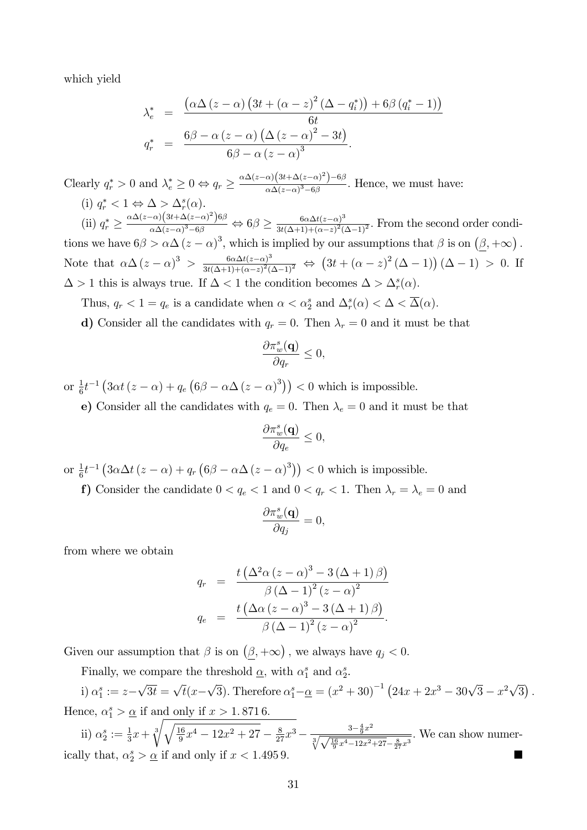which yield

$$
\lambda_e^* = \frac{\left(\alpha \Delta \left(z - \alpha\right) \left(3t + \left(\alpha - z\right)^2 \left(\Delta - q_i^*\right)\right) + 6\beta \left(q_i^* - 1\right)\right)}{6t}
$$
\n
$$
q_r^* = \frac{6\beta - \alpha \left(z - \alpha\right) \left(\Delta \left(z - \alpha\right)^2 - 3t\right)}{6\beta - \alpha \left(z - \alpha\right)^3}.
$$

Clearly  $q_r^* > 0$  and  $\lambda_e^* \geq 0 \Leftrightarrow q_r \geq \frac{\alpha \Delta (z-\alpha) (3t + \Delta (z-\alpha)^2) - 6\beta}{\alpha \Delta (z-\alpha)^3 - 6\beta}$  $\frac{\alpha}{\alpha\Delta(z-\alpha)^3-6\beta}$ . Hence, we must have:

(i)  $q_r^* < 1 \Leftrightarrow \Delta > \Delta_r^s(\alpha)$ . r

(ii)  $q_r^* \geq$  $\alpha \Delta(z-\alpha)\Big(3t\!+\!\Delta(z\!-\!\alpha)^2\Big)$ 6 $\beta$  $\frac{-\alpha)(3t+\Delta(z-\alpha)^2)6\beta}{\alpha\Delta(z-\alpha)^3-6\beta}\Leftrightarrow 6\beta\geq \frac{6\alpha\Delta t(z-\alpha)^3}{3t(\Delta+1)+(\alpha-z)^2(s)}$  $\frac{\partial \alpha \Delta t(z-\alpha)}{\partial t(\Delta+1)+(\alpha-z)^2(\Delta-1)^2}$ . From the second order conditions we have  $6\beta > \alpha \Delta (z - \alpha)^3$ , which is implied by our assumptions that  $\beta$  is on  $(\underline{\beta}, +\infty)$ . Note that  $\alpha\Delta(z-\alpha)^3 > \frac{6\alpha\Delta t(z-\alpha)^3}{3t(\Delta+1)+(\alpha-z)^2(z-\alpha)^3}$  $\frac{6\alpha\Delta t(z-\alpha)^3}{3t(\Delta+1)+(\alpha-z)^2(\Delta-1)^2} \Leftrightarrow (3t+(\alpha-z)^2(\Delta-1))(\Delta-1) > 0.$  If  $\Delta > 1$  this is always true. If  $\Delta < 1$  the condition becomes  $\Delta > \Delta_r^s(\alpha)$ .

- Thus,  $q_r < 1 = q_e$  is a candidate when  $\alpha < \alpha_2^s$  and  $\Delta_r^s(\alpha) < \Delta < \overline{\Delta}(\alpha)$ .
- d) Consider all the candidates with  $q_r = 0$ . Then  $\lambda_r = 0$  and it must be that

$$
\frac{\partial \pi_w^s(\mathbf{q})}{\partial q_r} \le 0,
$$

or  $\frac{1}{6}t^{-1} \left(3\alpha t \left(z-\alpha\right)+q_e \left(6\beta-\alpha\Delta \left(z-\alpha\right)^3\right)\right) < 0$  which is impossible.

e) Consider all the candidates with  $q_e = 0$ . Then  $\lambda_e = 0$  and it must be that

$$
\frac{\partial \pi_w^s(\mathbf{q})}{\partial q_e} \leq 0,
$$

or  $\frac{1}{6}t^{-1} \left(3\alpha\Delta t (z-\alpha) + q_r \left(6\beta - \alpha\Delta (z-\alpha)^3\right)\right) < 0$  which is impossible.

f) Consider the candidate  $0 < q_e < 1$  and  $0 < q_r < 1$ . Then  $\lambda_r = \lambda_e = 0$  and

$$
\frac{\partial \pi_w^s(\mathbf{q})}{\partial q_j} = 0,
$$

from where we obtain

$$
q_r = \frac{t\left(\Delta^2\alpha\left(z-\alpha\right)^3 - 3\left(\Delta+1\right)\beta\right)}{\beta\left(\Delta-1\right)^2\left(z-\alpha\right)^2}
$$

$$
q_e = \frac{t\left(\Delta\alpha\left(z-\alpha\right)^3 - 3\left(\Delta+1\right)\beta\right)}{\beta\left(\Delta-1\right)^2\left(z-\alpha\right)^2}.
$$

Given our assumption that  $\beta$  is on  $(\underline{\beta}, +\infty)$ , we always have  $q_j < 0$ .

Finally, we compare the threshold  $\underline{\alpha}$ , with  $\alpha_1^s$  and  $\alpha_2^s$ .

i)  $\alpha_1^s := z - \sqrt{3t} = \sqrt{t}(x - \sqrt{3})$ . Therefore  $\alpha_1^s - \underline{\alpha} = (x^2 + 30)^{-1} (24x + 2x^3 - 30\sqrt{3} - x^2\sqrt{3})$ . Hence,  $\alpha_1^s > \underline{\alpha}$  if and only if  $x > 1.8716$ .

ii)  $\alpha_2^s := \frac{1}{3}x + \sqrt[3]{\sqrt{\frac{16}{9}}}$  $\frac{16}{9}x^4 - 12x^2 + 27 - \frac{8}{27}x^3 - \frac{3 - \frac{4}{9}x^2}{\sqrt[3]{\sqrt{16}x^4 - 12x^2}}$  $\sqrt[3]{\sqrt{\frac{16}{9}x^4-12x^2+27}-\frac{8}{27}x^3}$ : We can show numerically that,  $\alpha_2^s > \underline{\alpha}$  if and only if  $x < 1.4959$ .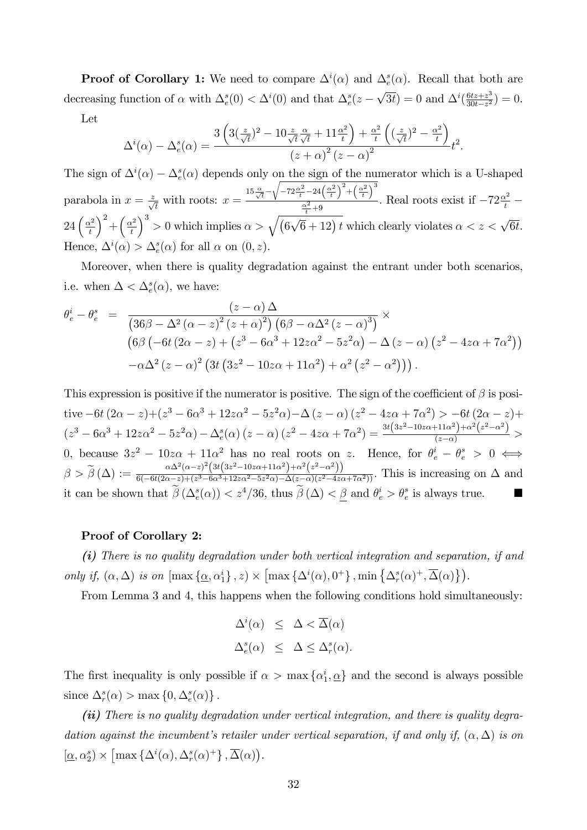**Proof of Corollary 1:** We need to compare  $\Delta^i(\alpha)$  and  $\Delta^s_e(\alpha)$ . Recall that both are decreasing function of  $\alpha$  with  $\Delta_e^s(0) < \Delta^i(0)$  and that  $\Delta_e^s(z-\sqrt{3t}) = 0$  and  $\Delta^i(\frac{6tz+z^3}{30t-z^2})$  $\frac{6tz+z^3}{30t-z^2}$ ) = 0.

Let

$$
\Delta^{i}(\alpha) - \Delta_{e}^{s}(\alpha) = \frac{3\left(3(\frac{z}{\sqrt{t}})^{2} - 10\frac{z}{\sqrt{t}}\frac{\alpha}{\sqrt{t}} + 11\frac{\alpha^{2}}{t}\right) + \frac{\alpha^{2}}{t}\left((\frac{z}{\sqrt{t}})^{2} - \frac{\alpha^{2}}{t}\right)}{(z+\alpha)^{2}(z-\alpha)^{2}}t^{2}.
$$

The sign of  $\Delta^i(\alpha) - \Delta^s_{\epsilon}(\alpha)$  depends only on the sign of the numerator which is a U-shaped parabola in  $x = \frac{z}{\sqrt{t}}$  with roots:  $x =$  $15\frac{\alpha}{\sqrt{t}}$  –  $\sqrt{-72\frac{\alpha^2}{t}-24\left(\frac{\alpha^2}{t}\right)^2+\left(\frac{\alpha^2}{t}\right)^3}$  $\frac{\alpha^2}{t} + 9$ . Real roots exist if  $-72\frac{\alpha^2}{t}$  –  $24\left(\frac{\alpha^2}{t}\right)$ t  $\Big)^2 + \Big(\frac{\alpha^2}{t}\Big)^2$ t  $\int^3$  > 0 which implies  $\alpha > \sqrt{(6\sqrt{6}+12)t}$  which clearly violates  $\alpha < z < \sqrt{6t}$ . Hence,  $\Delta^i(\alpha) > \Delta^s_{\epsilon}(\alpha)$  for all  $\alpha$  on  $(0, z)$ .

Moreover, when there is quality degradation against the entrant under both scenarios, i.e. when  $\Delta < \Delta_e^s(\alpha)$ , we have:

$$
\theta_e^i - \theta_e^s = \frac{(z-\alpha)\Delta}{\left(36\beta - \Delta^2\left(\alpha - z\right)^2 (z+\alpha)^2\right) \left(6\beta - \alpha\Delta^2 (z-\alpha)^3\right)} \times \n\left(6\beta \left(-6t\left(2\alpha - z\right) + \left(z^3 - 6\alpha^3 + 12z\alpha^2 - 5z^2\alpha\right) - \Delta\left(z-\alpha\right)\left(z^2 - 4z\alpha + 7\alpha^2\right)\right) \n- \alpha\Delta^2 (z-\alpha)^2 \left(3t\left(3z^2 - 10z\alpha + 11\alpha^2\right) + \alpha^2\left(z^2 - \alpha^2\right)\right)\right).
$$

This expression is positive if the numerator is positive. The sign of the coefficient of  $\beta$  is positive  $-6t(2\alpha-z)+(z^3-6\alpha^3+12z\alpha^2-5z^2\alpha)-\Delta(z-\alpha)(z^2-4z\alpha+7\alpha^2)>-6t(2\alpha-z)+$  $(z^3 - 6\alpha^3 + 12z\alpha^2 - 5z^2\alpha) - \Delta_e^s(\alpha)(z - \alpha)(z^2 - 4z\alpha + 7\alpha^2) = \frac{3t(3z^2 - 10z\alpha + 11\alpha^2) + \alpha^2(z^2 - \alpha^2)}{(z - \alpha)} >$ 0, because  $3z^2 - 10z\alpha + 11\alpha^2$  has no real roots on z. Hence, for  $\theta_e^i - \theta_e^s > 0 \iff$  $\beta>\widetilde{\beta}\left(\Delta\right):=\frac{\alpha \Delta ^2(\alpha -z)^2 \left(3 t \left(3 z^2-10 z \alpha +11 \alpha ^2\right)+\alpha ^2 \left(z^2-\alpha ^2\right)\right)}{6 (-6 t (2 \alpha -z)+(z^3-6 \alpha ^3+12 z \alpha ^2-5 z^2 \alpha )-\Delta (z-\alpha ) (z^2-4 z \alpha )}$  $\frac{\alpha}{6(-6t(2\alpha-z)+(z^3-6\alpha^3+12z\alpha^2-5z^2\alpha)-\Delta(z-\alpha)(z^2-4z\alpha+7\alpha^2))}$ . This is increasing on  $\Delta$  and it can be shown that  $\tilde{\beta}(\Delta_e^s(\alpha)) < z^4/36$ , thus  $\tilde{\beta}(\Delta) < \underline{\beta}$  and  $\theta_e^i > \theta_e^s$  is always true.

#### Proof of Corollary 2:

(i) There is no quality degradation under both vertical integration and separation, if and only if,  $(\alpha, \Delta)$  is on  $[\max{\{\underline{\alpha}, \alpha_1^i\}}, z) \times [\max{\{\Delta^i(\alpha), 0^+\}}, \min{\{\Delta^s_r(\alpha)^+, \overline{\Delta}(\alpha)\}}).$ 

From Lemma 3 and 4, this happens when the following conditions hold simultaneously:

$$
\Delta^i(\alpha) \leq \Delta < \overline{\Delta}(\alpha)
$$
\n
$$
\Delta^s_e(\alpha) \leq \Delta \leq \Delta^s_r(\alpha).
$$

The first inequality is only possible if  $\alpha > \max\{\alpha_1^i, \underline{\alpha}\}\$  and the second is always possible since  $\Delta_r^s(\alpha) > \max\{0, \Delta_e^s(\alpha)\}.$ 

(ii) There is no quality degradation under vertical integration, and there is quality degradation against the incumbent's retailer under vertical separation, if and only if,  $(\alpha, \Delta)$  is on  $[\underline{\alpha}, \alpha_2^s) \times \left[ \max \left\{ \Delta^i(\alpha), \Delta_r^s(\alpha)^+ \right\}, \overline{\Delta}(\alpha) \right).$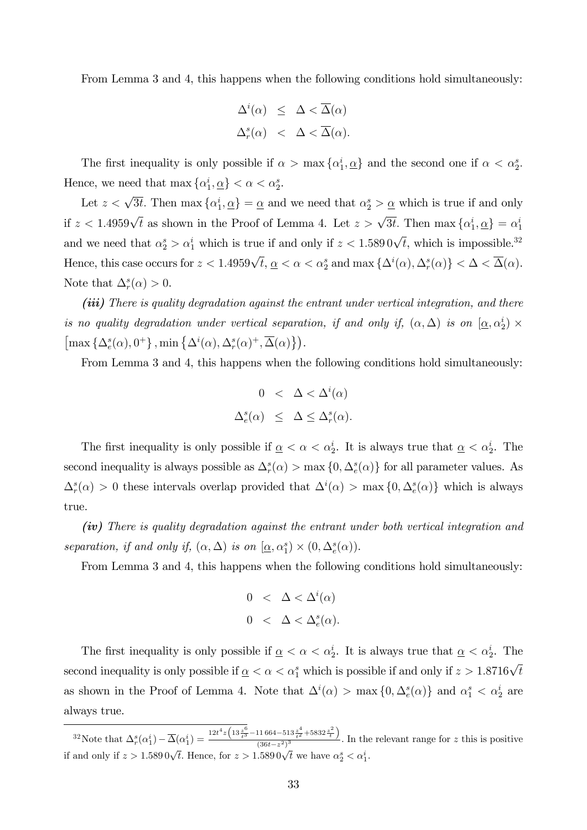From Lemma 3 and 4, this happens when the following conditions hold simultaneously:

$$
\Delta^i(\alpha) \leq \Delta < \overline{\Delta}(\alpha)
$$
\n
$$
\Delta^s_r(\alpha) < \Delta < \overline{\Delta}(\alpha).
$$

The first inequality is only possible if  $\alpha > \max{\{\alpha_1^i, \alpha\}}$  and the second one if  $\alpha < \alpha_2^s$ . Hence, we need that  $\max \{ \alpha_1^i, \underline{\alpha} \} < \alpha < \alpha_2^s$ .

Let  $z < \sqrt{3t}$ . Then max  $\{\alpha_1^i, \alpha\} = \alpha$  and we need that  $\alpha_2^s > \alpha$  which is true if and only if  $z < 1.4959\sqrt{t}$  as shown in the Proof of Lemma 4. Let  $z > \sqrt{3t}$ . Then  $\max\{\alpha_1^i, \underline{\alpha}\} = \alpha_1^i$ and we need that  $\alpha_2^s > \alpha_1^i$  which is true if and only if  $z < 1.5890\sqrt{t}$ , which is impossible.<sup>32</sup> Hence, this case occurs for  $z < 1.4959\sqrt{t}$ ,  $\underline{\alpha} < \alpha < \alpha_2^s$  and  $\max\{\Delta^i(\alpha), \Delta^s_r(\alpha)\} < \Delta < \overline{\Delta}(\alpha)$ . Note that  $\Delta_r^s(\alpha) > 0$ .

(iii) There is quality degradation against the entrant under vertical integration, and there is no quality degradation under vertical separation, if and only if,  $(\alpha, \Delta)$  is on  $[\alpha, \alpha_2^i] \times$  $\left[\max\left\{\Delta^s_e(\alpha), 0^+\right\}, \min\left\{\Delta^i(\alpha), \Delta^s_r(\alpha)^+, \overline{\Delta}(\alpha)\right\}\right)\!.$ 

From Lemma 3 and 4, this happens when the following conditions hold simultaneously:

$$
0 < \Delta < \Delta^{i}(\alpha)
$$
  

$$
\Delta_{e}^{s}(\alpha) \leq \Delta \leq \Delta_{r}^{s}(\alpha).
$$

The first inequality is only possible if  $\alpha < \alpha^i$ . It is always true that  $\alpha < \alpha^i$ . The second inequality is always possible as  $\Delta_r^s(\alpha) > \max\{0, \Delta_e^s(\alpha)\}\)$  for all parameter values. As  $\Delta_r^s(\alpha) > 0$  these intervals overlap provided that  $\Delta^i(\alpha) > \max\{0, \Delta_e^s(\alpha)\}\$  which is always true.

(iv) There is quality degradation against the entrant under both vertical integration and separation, if and only if,  $(\alpha, \Delta)$  is on  $[\underline{\alpha}, \alpha_1^s) \times (0, \Delta_e^s(\alpha))$ .

From Lemma 3 and 4, this happens when the following conditions hold simultaneously:

$$
0 < \Delta < \Delta^{i}(\alpha)
$$
  

$$
0 < \Delta < \Delta_{e}^{s}(\alpha).
$$

The first inequality is only possible if  $\alpha < \alpha^i$ . It is always true that  $\alpha < \alpha^i$ . The second inequality is only possible if  $\alpha < \alpha$  of which is possible if and only if  $z > 1.8716\sqrt{t}$ as shown in the Proof of Lemma 4. Note that  $\Delta^i(\alpha) > \max\{0, \Delta^s_e(\alpha)\}\$  and  $\alpha^s_1 < \alpha^i_2$  are always true.

<sup>&</sup>lt;sup>32</sup>Note that  $\Delta_r^s(\alpha_1^i) - \overline{\Delta}(\alpha_1^i) = \frac{12t^4z \left(13\frac{z^6}{t^3} - 11664 - 513\frac{z^4}{t^2} + 5832\frac{z^2}{t}\right)}{(36t - z^2)^3}$  $\frac{2}{(36t-z^2)^3}$ . In the relevant range for z this is positive if and only if  $z > 1.589 \sqrt{t}$ . Hence, for  $z > 1.589 \sqrt{t}$  we have  $\alpha_2^s < \alpha_1^i$ .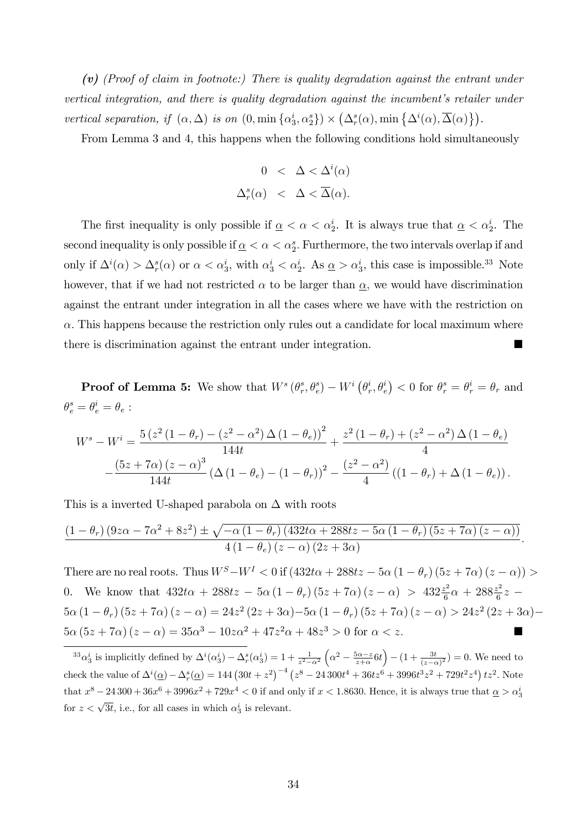(v) (Proof of claim in footnote:) There is quality degradation against the entrant under vertical integration, and there is quality degradation against the incumbent's retailer under vertical separation, if  $(\alpha, \Delta)$  is on  $(0, \min{\{\alpha_3^i, \alpha_2^s\}}) \times (\Delta_r^s(\alpha), \min{\{\Delta^i(\alpha), \overline{\Delta}(\alpha)\}}).$ 

From Lemma 3 and 4, this happens when the following conditions hold simultaneously

$$
0 < \Delta < \Delta^{i}(\alpha)
$$
  

$$
\Delta^{s}_{r}(\alpha) < \Delta < \overline{\Delta}(\alpha).
$$

The first inequality is only possible if  $\underline{\alpha} < \alpha < \alpha_2^i$ . It is always true that  $\underline{\alpha} < \alpha_2^i$ . The second inequality is only possible if  $\underline{\alpha} < \alpha < \alpha_2^s$ . Furthermore, the two intervals overlap if and only if  $\Delta^i(\alpha) > \Delta^s_r(\alpha)$  or  $\alpha < \alpha^i_3$ , with  $\alpha^i_3 < \alpha^i_2$ . As  $\underline{\alpha} > \alpha^i_3$ , this case is impossible.<sup>33</sup> Note however, that if we had not restricted  $\alpha$  to be larger than  $\alpha$ , we would have discrimination against the entrant under integration in all the cases where we have with the restriction on  $\alpha$ . This happens because the restriction only rules out a candidate for local maximum where there is discrimination against the entrant under integration.

**Proof of Lemma 5:** We show that  $W^s(\theta_r^s)$  $\left( \theta _{r}^{s},\theta _{e}^{s}\right) -W^{i}\left( \theta _{r}^{i}\right)$  $\left( \vec{r}, \theta_e^i \right) < 0$  for  $\theta_r^s = \theta_r^i = \theta_r$  and  $\theta_e^s = \theta_e^i = \theta_e$  :

$$
W^{s} - W^{i} = \frac{5(z^{2}(1 - \theta_{r}) - (z^{2} - \alpha^{2}) \Delta (1 - \theta_{e}))^{2}}{144t} + \frac{z^{2}(1 - \theta_{r}) + (z^{2} - \alpha^{2}) \Delta (1 - \theta_{e})}{4}
$$

$$
-\frac{(5z + 7\alpha)(z - \alpha)^{3}}{144t} (\Delta (1 - \theta_{e}) - (1 - \theta_{r}))^{2} - \frac{(z^{2} - \alpha^{2})}{4} ((1 - \theta_{r}) + \Delta (1 - \theta_{e})) .
$$

This is a inverted U-shaped parabola on  $\Delta$  with roots

$$
\frac{\left(1-\theta_r\right)\left(9z\alpha-7\alpha^2+8z^2\right)\pm\sqrt{-\alpha\left(1-\theta_r\right)\left(432t\alpha+288tz-5\alpha\left(1-\theta_r\right)\left(5z+7\alpha\right)\left(z-\alpha\right)\right)}}{4\left(1-\theta_e\right)\left(z-\alpha\right)\left(2z+3\alpha\right)}.
$$

There are no real roots. Thus  $W^S - W^I < 0$  if  $(432t\alpha + 288tz - 5\alpha (1 - \theta_r) (5z + 7\alpha)(z - \alpha)) >$ 0. We know that  $432t\alpha + 288tz - 5\alpha(1 - \theta_r)(5z + 7\alpha)(z - \alpha) > 432\frac{z^2}{6}$  $\frac{z^2}{6}\alpha + 288\frac{z^2}{6}$  $\frac{z^2}{6}z 5\alpha (1 - \theta_r) (5z + 7\alpha) (z - \alpha) = 24z^2 (2z + 3\alpha) - 5\alpha (1 - \theta_r) (5z + 7\alpha) (z - \alpha) > 24z^2 (2z + 3\alpha) 5\alpha (5z + 7\alpha)(z - \alpha) = 35\alpha^3 - 10z\alpha^2 + 47z^2\alpha + 48z^3 > 0$  for  $\alpha < z$ .

 $^{33}\alpha_3^i$  is implicitly defined by  $\Delta^i(\alpha_3^i) - \Delta^s_r(\alpha_3^i) = 1 + \frac{1}{z^2 - \alpha^2}$  $\left(\alpha^2 - \frac{5\alpha - z}{z + \alpha} 6t\right) - \left(1 + \frac{3t}{(z - \alpha)^2}\right) = 0.$  We need to check the value of  $\Delta^{i}(\underline{\alpha}) - \Delta_r^{s}(\underline{\alpha}) = 144 (30t + z^2)^{-4} (z^8 - 24300t^4 + 36tz^6 + 3996t^3z^2 + 729t^2z^4) tz^2$ . Note that  $x^8 - 24300 + 36x^6 + 3996x^2 + 729x^4 < 0$  if and only if  $x < 1.8630$ . Hence, it is always true that  $\underline{\alpha} > \alpha_3^i$ for  $z < \sqrt{3t}$ , i.e., for all cases in which  $\alpha_3^i$  is relevant.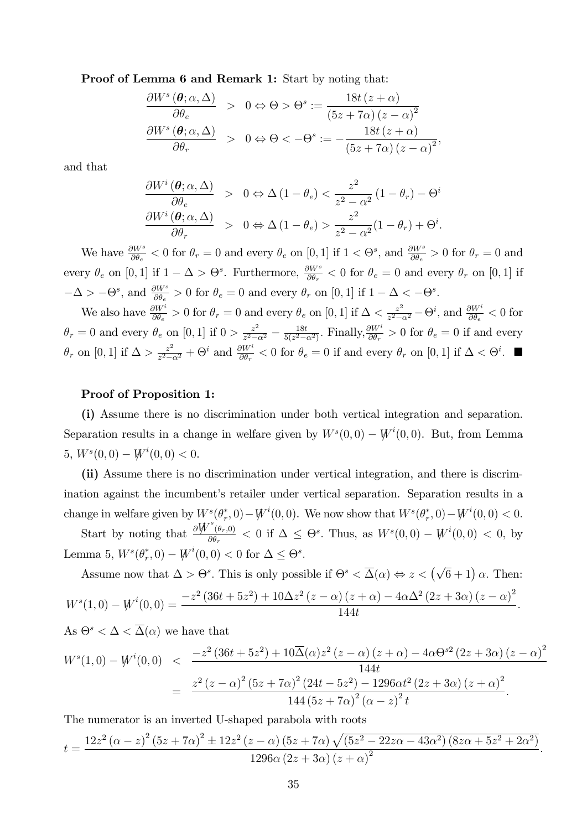Proof of Lemma 6 and Remark 1: Start by noting that:

$$
\frac{\partial W^s(\theta; \alpha, \Delta)}{\partial \theta_e} > 0 \Leftrightarrow \Theta > \Theta^s := \frac{18t (z + \alpha)}{(5z + 7\alpha) (z - \alpha)^2}
$$

$$
\frac{\partial W^s(\theta; \alpha, \Delta)}{\partial \theta_r} > 0 \Leftrightarrow \Theta < -\Theta^s := -\frac{18t (z + \alpha)}{(5z + 7\alpha) (z - \alpha)^2},
$$

and that

$$
\frac{\partial W^i(\theta; \alpha, \Delta)}{\partial \theta_e} > 0 \Leftrightarrow \Delta (1 - \theta_e) < \frac{z^2}{z^2 - \alpha^2} (1 - \theta_r) - \Theta^i
$$
  

$$
\frac{\partial W^i(\theta; \alpha, \Delta)}{\partial \theta_r} > 0 \Leftrightarrow \Delta (1 - \theta_e) > \frac{z^2}{z^2 - \alpha^2} (1 - \theta_r) + \Theta^i.
$$

We have  $\frac{\partial W^s}{\partial \theta_e} < 0$  for  $\theta_r = 0$  and every  $\theta_e$  on  $[0, 1]$  if  $1 < \Theta^s$ , and  $\frac{\partial W^s}{\partial \theta_e} > 0$  for  $\theta_r = 0$  and every  $\theta_e$  on [0, 1] if  $1 - \Delta > \Theta^s$ . Furthermore,  $\frac{\partial W^s}{\partial \theta_r} < 0$  for  $\theta_e = 0$  and every  $\theta_r$  on [0, 1] if  $-\Delta > -\Theta^s$ , and  $\frac{\partial W^s}{\partial \theta_e} > 0$  for  $\theta_e = 0$  and every  $\theta_r$  on [0, 1] if  $1 - \Delta < -\Theta^s$ .

We also have  $\frac{\partial W^i}{\partial \theta_e} > 0$  for  $\theta_r = 0$  and every  $\theta_e$  on [0, 1] if  $\Delta < \frac{z^2}{z^2 - 1}$  $\frac{z^2}{z^2-\alpha^2}$  –  $\Theta^i$ , and  $\frac{\partial W^i}{\partial \theta_e}$  < 0 for  $\theta_r = 0$  and every  $\theta_e$  on [0, 1] if  $0 > \frac{z^2}{z^2 - 1}$  $rac{z^2}{z^2-\alpha^2} - \frac{18t}{5(z^2-\alpha)}$  $\frac{18t}{5(z^2-\alpha^2)}$ . Finally,  $\frac{\partial W^i}{\partial \theta_r} > 0$  for  $\theta_e = 0$  if and every  $\theta_r$  on [0, 1] if  $\Delta > \frac{z^2}{z^2-t}$  $\frac{z^2}{z^2-\alpha^2} + \Theta^i$  and  $\frac{\partial W^i}{\partial \theta_r} < 0$  for  $\theta_e = 0$  if and every  $\theta_r$  on  $[0,1]$  if  $\Delta < \Theta^i$ .

#### Proof of Proposition 1:

(i) Assume there is no discrimination under both vertical integration and separation. Separation results in a change in welfare given by  $W^s(0,0) - W^i(0,0)$ . But, from Lemma 5,  $W^s(0,0) - W^i(0,0) < 0.$ 

(ii) Assume there is no discrimination under vertical integration, and there is discrimination against the incumbent's retailer under vertical separation. Separation results in a change in welfare given by  $W^s(\theta^*_r,0) - W^i(0,0)$ . We now show that  $W^s(\theta^*_r,0) - W^i(0,0) < 0$ .

Start by noting that  $\frac{\partial W^s(\theta_r,0)}{\partial \theta_r}$  $\frac{(\theta_r,0)}{\theta\theta_r} < 0$  if  $\Delta \leq \Theta^s$ . Thus, as  $W^s(0,0) - W^i(0,0) < 0$ , by Lemma 5,  $W^s(\theta_r^*, 0) - W^i(0, 0) < 0$  for  $\Delta \leq \Theta^s$ .

Assume now that  $\Delta > \Theta^s$ . This is only possible if  $\Theta^s < \overline{\Delta}(\alpha) \Leftrightarrow z < (\sqrt{6} + 1) \alpha$ . Then:  $W^s(1,0) - W^i(0,0) = \frac{-z^2\left(36t + 5z^2\right) + 10\Delta z^2\left(z - \alpha\right)\left(z + \alpha\right) - 4\alpha\Delta^2\left(2z + 3\alpha\right)\left(z - \alpha\right)^2}{144t}$ 144t :

As 
$$
\Theta^s < \Delta < \overline{\Delta}(\alpha)
$$
 we have that  
\n
$$
W^s(1,0) - W^i(0,0) < \frac{-z^2 (36t + 5z^2) + 10\overline{\Delta}(\alpha)z^2 (z - \alpha) (z + \alpha) - 4\alpha \Theta^{s2} (2z + 3\alpha) (z - \alpha)^2}{144t}
$$
\n
$$
= \frac{z^2 (z - \alpha)^2 (5z + 7\alpha)^2 (24t - 5z^2) - 1296\alpha t^2 (2z + 3\alpha) (z + \alpha)^2}{144 (5z + 7\alpha)^2 (\alpha - z)^2 t}.
$$

The numerator is an inverted U-shaped parabola with roots

$$
t = \frac{12z^{2} (\alpha - z)^{2} (5z + 7\alpha)^{2} \pm 12z^{2} (z - \alpha) (5z + 7\alpha) \sqrt{(5z^{2} - 22z\alpha - 43\alpha^{2}) (8z\alpha + 5z^{2} + 2\alpha^{2})}}{1296\alpha (2z + 3\alpha) (z + \alpha)^{2}}.
$$

: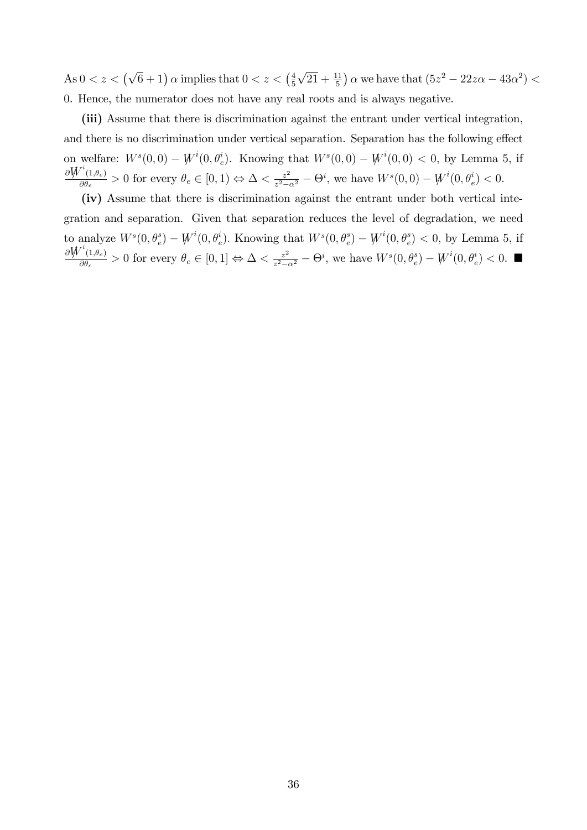As  $0 < z < (\sqrt{6} + 1)$   $\alpha$  implies that  $0 < z < (\frac{4}{5})$ 5  $\sqrt{21} + \frac{11}{5}$  a we have that  $(5z^2 - 22z\alpha - 43\alpha^2)$  < 0. Hence, the numerator does not have any real roots and is always negative.

(iii) Assume that there is discrimination against the entrant under vertical integration, and there is no discrimination under vertical separation. Separation has the following effect on welfare:  $W^s(0,0) - W^i(0,\theta_e^i)$ . Knowing that  $W^s(0,0) - W^i(0,0) < 0$ , by Lemma 5, if  $\partial \overline{W}^i$ (1, $\theta_e$ )  $\frac{(1,\theta_e)}{\partial \theta_e} > 0$  for every  $\theta_e \in [0,1) \Leftrightarrow \Delta < \frac{z^2}{z^2 - 1}$  $\frac{z^2}{z^2-\alpha^2} - \Theta^i$ , we have  $W^s(0,0) - W^i(0,\theta_e^i) < 0$ .

(iv) Assume that there is discrimination against the entrant under both vertical integration and separation. Given that separation reduces the level of degradation, we need to analyze  $W^s(0, \theta_e^s) - W^i(0, \theta_e^i)$ . Knowing that  $W^s(0, \theta_e^s) - W^i(0, \theta_e^s) < 0$ , by Lemma 5, if  $\partial \overline{W}^i$ (1, $\theta_e$ )  $\frac{(1,\theta_e)}{\partial \theta_e} > 0$  for every  $\theta_e \in [0,1] \Leftrightarrow \Delta < \frac{z^2}{z^2 - 1}$  $\frac{z^2}{z^2-\alpha^2} - \Theta^i$ , we have  $W^s(0, \theta_e^s) - W^i(0, \theta_e^i) < 0$ .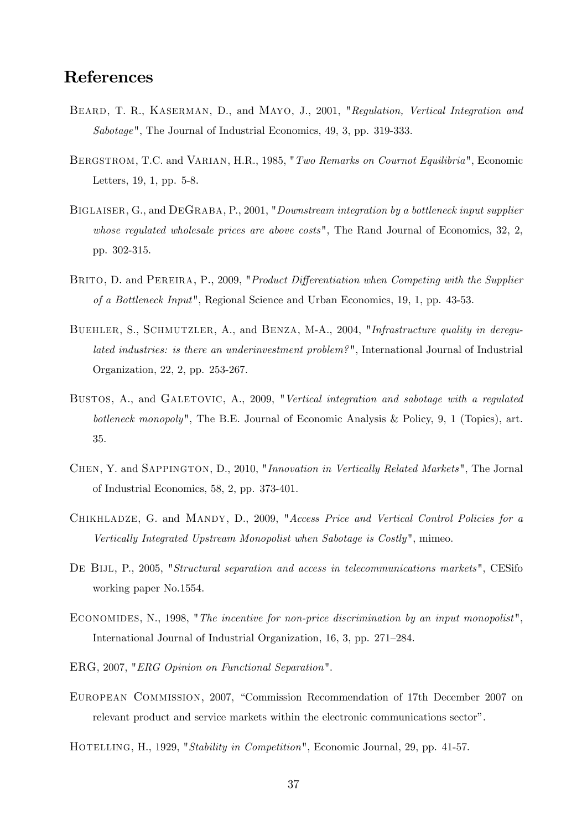# References

- BEARD, T. R., KASERMAN, D., and MAYO, J., 2001, "Regulation, Vertical Integration and Sabotage", The Journal of Industrial Economics, 49, 3, pp. 319-333.
- BERGSTROM, T.C. and VARIAN, H.R., 1985, "Two Remarks on Cournot Equilibria", Economic Letters, 19, 1, pp. 5-8.
- BIGLAISER, G., and DEGRABA, P., 2001, "Downstream integration by a bottleneck input supplier whose regulated wholesale prices are above costs", The Rand Journal of Economics, 32, 2, pp. 302-315.
- BRITO, D. and PEREIRA, P., 2009, "*Product Differentiation when Competing with the Supplier* of a Bottleneck Input", Regional Science and Urban Economics, 19, 1, pp. 43-53.
- BUEHLER, S., SCHMUTZLER, A., and BENZA, M-A., 2004, "Infrastructure quality in deregulated industries: is there an underinvestment problem? ", International Journal of Industrial Organization, 22, 2, pp. 253-267.
- BUSTOS, A., and GALETOVIC, A., 2009, "Vertical integration and sabotage with a regulated botleneck monopoly", The B.E. Journal of Economic Analysis & Policy, 9, 1 (Topics), art. 35.
- Chen, Y. and Sappington, D., 2010, "Innovation in Vertically Related Markets", The Jornal of Industrial Economics, 58, 2, pp. 373-401.
- Chikhladze, G. and Mandy, D., 2009, "Access Price and Vertical Control Policies for a Vertically Integrated Upstream Monopolist when Sabotage is Costly", mimeo.
- DE BIJL, P., 2005, "Structural separation and access in telecommunications markets", CESifo working paper No.1554.
- Economides, N., 1998, "The incentive for non-price discrimination by an input monopolist", International Journal of Industrial Organization, 16, 3, pp. 271–284.
- ERG, 2007, "ERG Opinion on Functional Separation".
- EUROPEAN COMMISSION, 2007, "Commission Recommendation of 17th December 2007 on relevant product and service markets within the electronic communications sector".
- HOTELLING, H., 1929, "Stability in Competition", Economic Journal, 29, pp. 41-57.